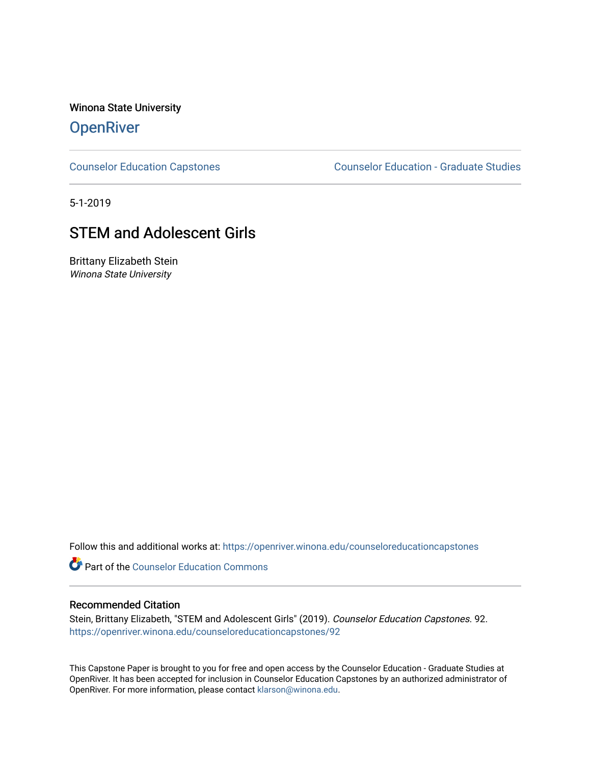Winona State University

# **OpenRiver**

[Counselor Education Capstones](https://openriver.winona.edu/counseloreducationcapstones) [Counselor Education - Graduate Studies](https://openriver.winona.edu/counseloreducation) 

5-1-2019

# STEM and Adolescent Girls

Brittany Elizabeth Stein Winona State University

Follow this and additional works at: [https://openriver.winona.edu/counseloreducationcapstones](https://openriver.winona.edu/counseloreducationcapstones?utm_source=openriver.winona.edu%2Fcounseloreducationcapstones%2F92&utm_medium=PDF&utm_campaign=PDFCoverPages)

**C** Part of the Counselor Education Commons

#### Recommended Citation

Stein, Brittany Elizabeth, "STEM and Adolescent Girls" (2019). Counselor Education Capstones. 92. [https://openriver.winona.edu/counseloreducationcapstones/92](https://openriver.winona.edu/counseloreducationcapstones/92?utm_source=openriver.winona.edu%2Fcounseloreducationcapstones%2F92&utm_medium=PDF&utm_campaign=PDFCoverPages) 

This Capstone Paper is brought to you for free and open access by the Counselor Education - Graduate Studies at OpenRiver. It has been accepted for inclusion in Counselor Education Capstones by an authorized administrator of OpenRiver. For more information, please contact [klarson@winona.edu](mailto:klarson@winona.edu).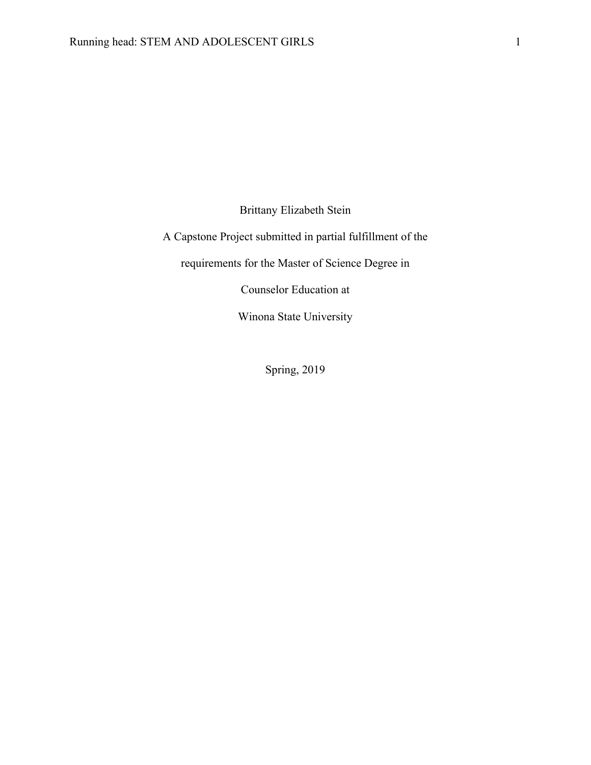Brittany Elizabeth Stein

A Capstone Project submitted in partial fulfillment of the

requirements for the Master of Science Degree in

Counselor Education at

Winona State University

Spring, 2019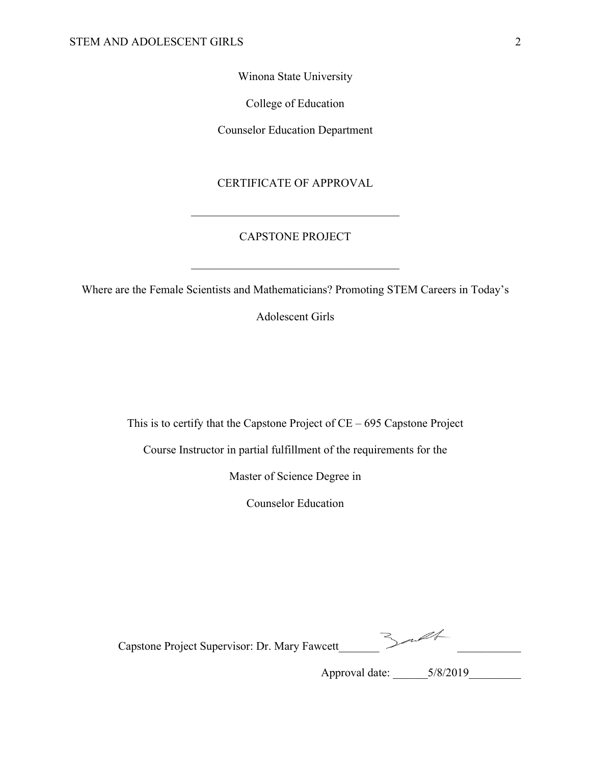Winona State University

College of Education

Counselor Education Department

## CERTIFICATE OF APPROVAL

## CAPSTONE PROJECT

Where are the Female Scientists and Mathematicians? Promoting STEM Careers in Today's

Adolescent Girls

This is to certify that the Capstone Project of CE – 695 Capstone Project

Course Instructor in partial fulfillment of the requirements for the

Master of Science Degree in

Counselor Education

| Capstone Project Supervisor: Dr. Mary Fawcett |  |
|-----------------------------------------------|--|
|-----------------------------------------------|--|

Approval date: \_\_\_\_\_\_5/8/2019\_\_\_\_\_\_\_\_\_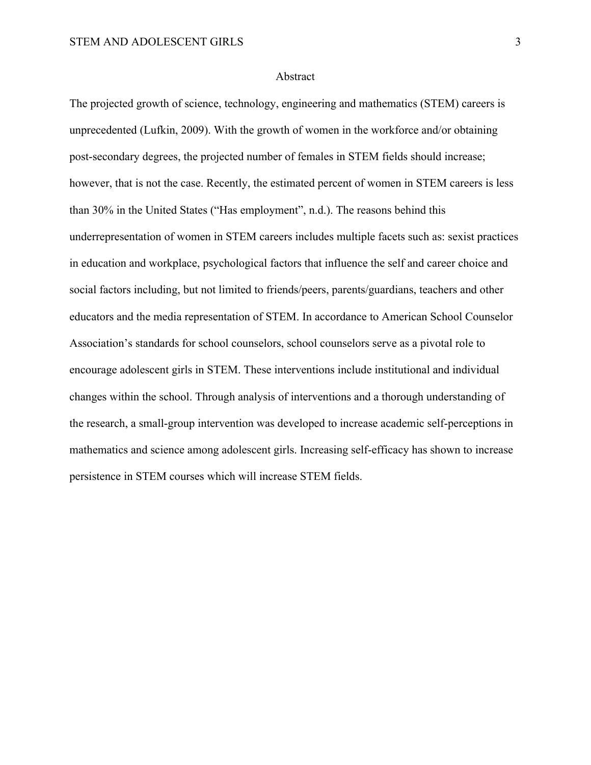#### Abstract

The projected growth of science, technology, engineering and mathematics (STEM) careers is unprecedented (Lufkin, 2009). With the growth of women in the workforce and/or obtaining post-secondary degrees, the projected number of females in STEM fields should increase; however, that is not the case. Recently, the estimated percent of women in STEM careers is less than 30% in the United States ("Has employment", n.d.). The reasons behind this underrepresentation of women in STEM careers includes multiple facets such as: sexist practices in education and workplace, psychological factors that influence the self and career choice and social factors including, but not limited to friends/peers, parents/guardians, teachers and other educators and the media representation of STEM. In accordance to American School Counselor Association's standards for school counselors, school counselors serve as a pivotal role to encourage adolescent girls in STEM. These interventions include institutional and individual changes within the school. Through analysis of interventions and a thorough understanding of the research, a small-group intervention was developed to increase academic self-perceptions in mathematics and science among adolescent girls. Increasing self-efficacy has shown to increase persistence in STEM courses which will increase STEM fields.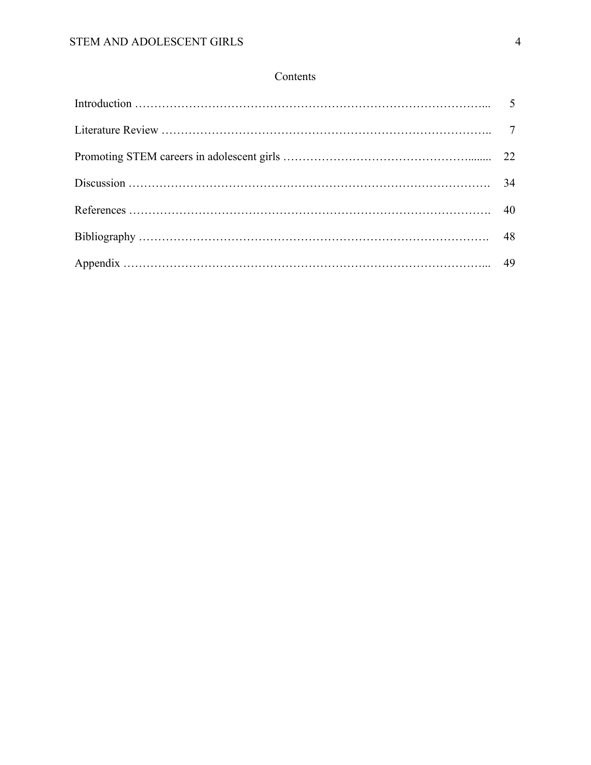# Contents

| Discussion $\ldots$ and $\ldots$ $\ldots$ $\ldots$ $\ldots$ $\ldots$ $\ldots$ $\ldots$ $\ldots$ $\ldots$ $\ldots$ $\ldots$ $\ldots$ $\ldots$ $\ldots$ $\ldots$ $\ldots$ $\ldots$ $\ldots$ $\ldots$ $\ldots$ $\ldots$ $\ldots$ $\ldots$ $\ldots$ $\ldots$ $\ldots$ $\ldots$ $\ldots$ $\ldots$ $\ldots$ $\ldots$ $\ldots$ $\ldots$ $\$ |  |
|--------------------------------------------------------------------------------------------------------------------------------------------------------------------------------------------------------------------------------------------------------------------------------------------------------------------------------------|--|
|                                                                                                                                                                                                                                                                                                                                      |  |
|                                                                                                                                                                                                                                                                                                                                      |  |
|                                                                                                                                                                                                                                                                                                                                      |  |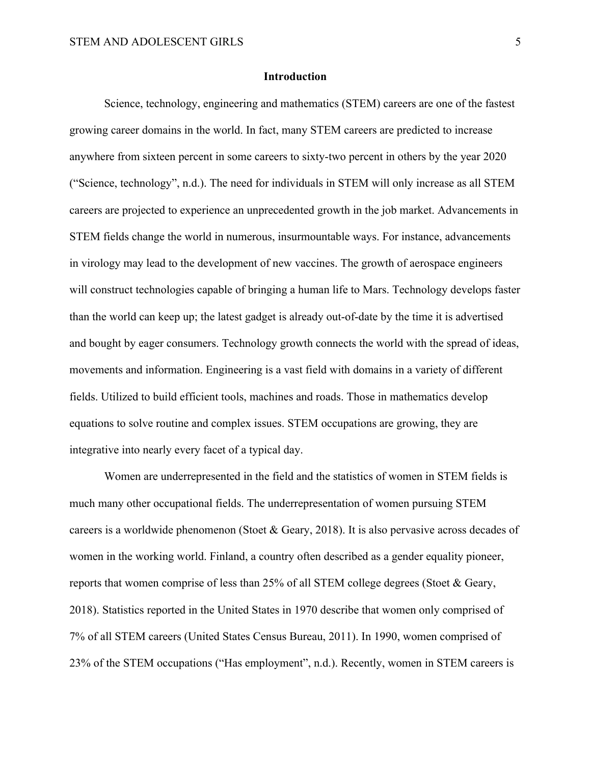#### **Introduction**

Science, technology, engineering and mathematics (STEM) careers are one of the fastest growing career domains in the world. In fact, many STEM careers are predicted to increase anywhere from sixteen percent in some careers to sixty-two percent in others by the year 2020 ("Science, technology", n.d.). The need for individuals in STEM will only increase as all STEM careers are projected to experience an unprecedented growth in the job market. Advancements in STEM fields change the world in numerous, insurmountable ways. For instance, advancements in virology may lead to the development of new vaccines. The growth of aerospace engineers will construct technologies capable of bringing a human life to Mars. Technology develops faster than the world can keep up; the latest gadget is already out-of-date by the time it is advertised and bought by eager consumers. Technology growth connects the world with the spread of ideas, movements and information. Engineering is a vast field with domains in a variety of different fields. Utilized to build efficient tools, machines and roads. Those in mathematics develop equations to solve routine and complex issues. STEM occupations are growing, they are integrative into nearly every facet of a typical day.

Women are underrepresented in the field and the statistics of women in STEM fields is much many other occupational fields. The underrepresentation of women pursuing STEM careers is a worldwide phenomenon (Stoet & Geary, 2018). It is also pervasive across decades of women in the working world. Finland, a country often described as a gender equality pioneer, reports that women comprise of less than 25% of all STEM college degrees (Stoet & Geary, 2018). Statistics reported in the United States in 1970 describe that women only comprised of 7% of all STEM careers (United States Census Bureau, 2011). In 1990, women comprised of 23% of the STEM occupations ("Has employment", n.d.). Recently, women in STEM careers is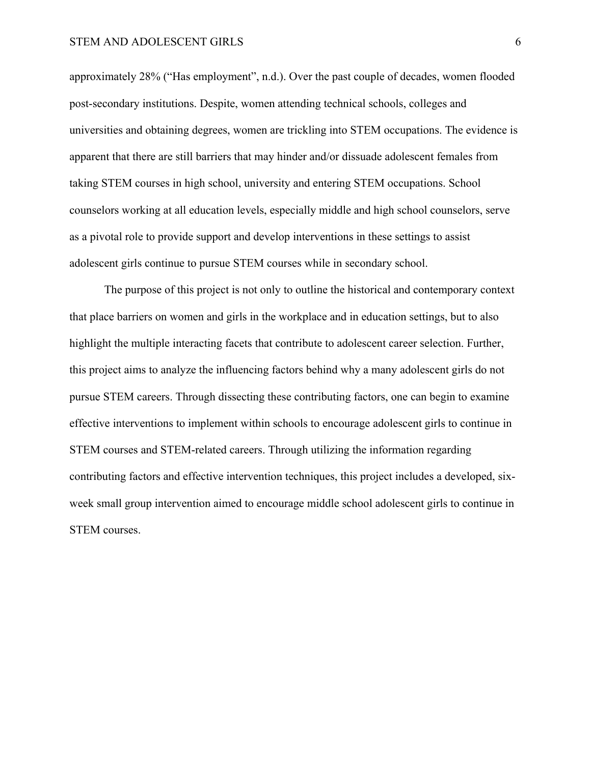approximately 28% ("Has employment", n.d.). Over the past couple of decades, women flooded post-secondary institutions. Despite, women attending technical schools, colleges and universities and obtaining degrees, women are trickling into STEM occupations. The evidence is apparent that there are still barriers that may hinder and/or dissuade adolescent females from taking STEM courses in high school, university and entering STEM occupations. School counselors working at all education levels, especially middle and high school counselors, serve as a pivotal role to provide support and develop interventions in these settings to assist adolescent girls continue to pursue STEM courses while in secondary school.

The purpose of this project is not only to outline the historical and contemporary context that place barriers on women and girls in the workplace and in education settings, but to also highlight the multiple interacting facets that contribute to adolescent career selection. Further, this project aims to analyze the influencing factors behind why a many adolescent girls do not pursue STEM careers. Through dissecting these contributing factors, one can begin to examine effective interventions to implement within schools to encourage adolescent girls to continue in STEM courses and STEM-related careers. Through utilizing the information regarding contributing factors and effective intervention techniques, this project includes a developed, sixweek small group intervention aimed to encourage middle school adolescent girls to continue in STEM courses.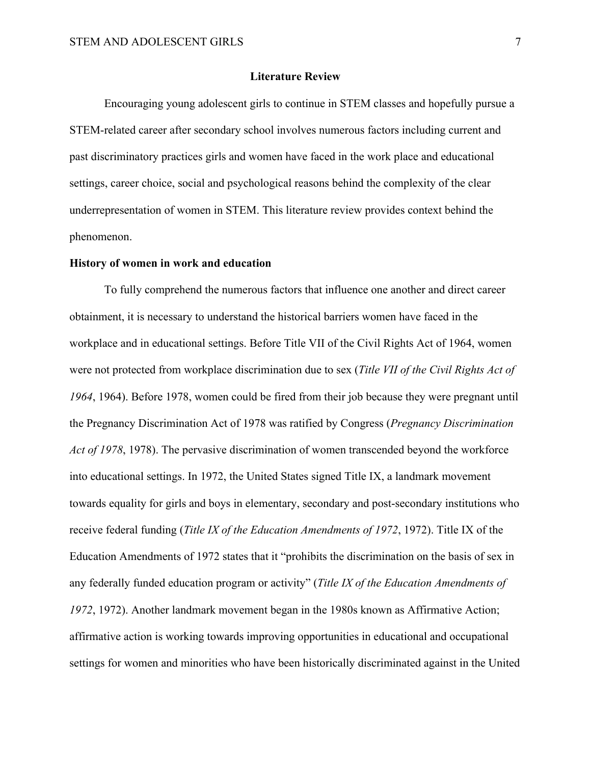#### **Literature Review**

Encouraging young adolescent girls to continue in STEM classes and hopefully pursue a STEM-related career after secondary school involves numerous factors including current and past discriminatory practices girls and women have faced in the work place and educational settings, career choice, social and psychological reasons behind the complexity of the clear underrepresentation of women in STEM. This literature review provides context behind the phenomenon.

#### **History of women in work and education**

To fully comprehend the numerous factors that influence one another and direct career obtainment, it is necessary to understand the historical barriers women have faced in the workplace and in educational settings. Before Title VII of the Civil Rights Act of 1964, women were not protected from workplace discrimination due to sex (*Title VII of the Civil Rights Act of 1964*, 1964). Before 1978, women could be fired from their job because they were pregnant until the Pregnancy Discrimination Act of 1978 was ratified by Congress (*Pregnancy Discrimination Act of 1978*, 1978). The pervasive discrimination of women transcended beyond the workforce into educational settings. In 1972, the United States signed Title IX, a landmark movement towards equality for girls and boys in elementary, secondary and post-secondary institutions who receive federal funding (*Title IX of the Education Amendments of 1972*, 1972). Title IX of the Education Amendments of 1972 states that it "prohibits the discrimination on the basis of sex in any federally funded education program or activity" (*Title IX of the Education Amendments of 1972*, 1972). Another landmark movement began in the 1980s known as Affirmative Action; affirmative action is working towards improving opportunities in educational and occupational settings for women and minorities who have been historically discriminated against in the United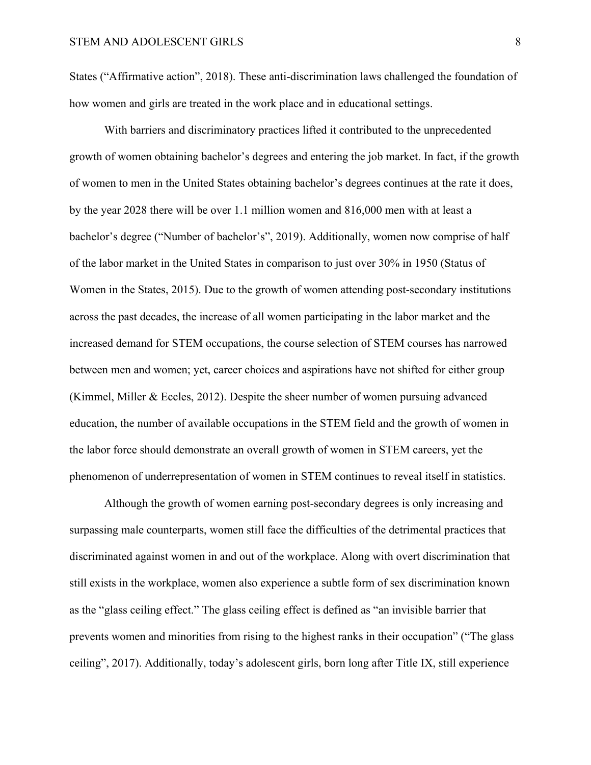States ("Affirmative action", 2018). These anti-discrimination laws challenged the foundation of how women and girls are treated in the work place and in educational settings.

With barriers and discriminatory practices lifted it contributed to the unprecedented growth of women obtaining bachelor's degrees and entering the job market. In fact, if the growth of women to men in the United States obtaining bachelor's degrees continues at the rate it does, by the year 2028 there will be over 1.1 million women and 816,000 men with at least a bachelor's degree ("Number of bachelor's", 2019). Additionally, women now comprise of half of the labor market in the United States in comparison to just over 30% in 1950 (Status of Women in the States, 2015). Due to the growth of women attending post-secondary institutions across the past decades, the increase of all women participating in the labor market and the increased demand for STEM occupations, the course selection of STEM courses has narrowed between men and women; yet, career choices and aspirations have not shifted for either group (Kimmel, Miller & Eccles, 2012). Despite the sheer number of women pursuing advanced education, the number of available occupations in the STEM field and the growth of women in the labor force should demonstrate an overall growth of women in STEM careers, yet the phenomenon of underrepresentation of women in STEM continues to reveal itself in statistics.

Although the growth of women earning post-secondary degrees is only increasing and surpassing male counterparts, women still face the difficulties of the detrimental practices that discriminated against women in and out of the workplace. Along with overt discrimination that still exists in the workplace, women also experience a subtle form of sex discrimination known as the "glass ceiling effect." The glass ceiling effect is defined as "an invisible barrier that prevents women and minorities from rising to the highest ranks in their occupation" ("The glass ceiling", 2017). Additionally, today's adolescent girls, born long after Title IX, still experience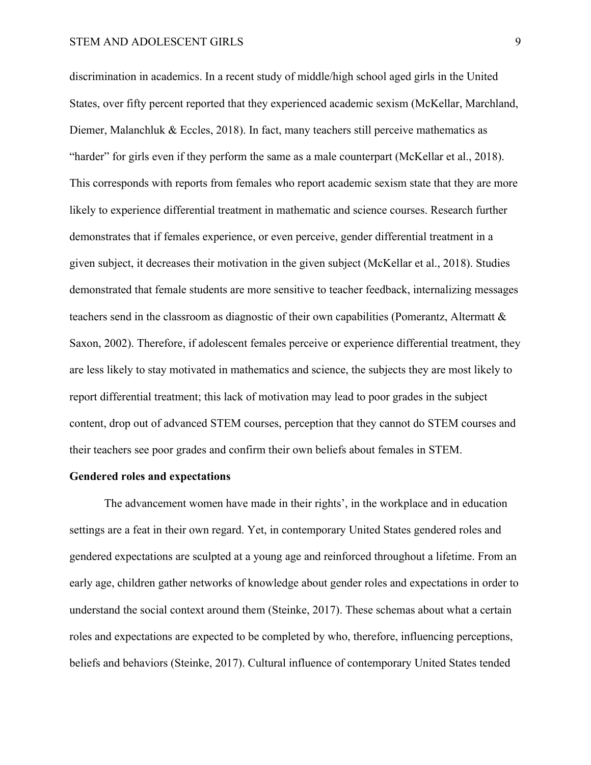#### STEM AND ADOLESCENT GIRLS 9

discrimination in academics. In a recent study of middle/high school aged girls in the United States, over fifty percent reported that they experienced academic sexism (McKellar, Marchland, Diemer, Malanchluk & Eccles, 2018). In fact, many teachers still perceive mathematics as "harder" for girls even if they perform the same as a male counterpart (McKellar et al., 2018). This corresponds with reports from females who report academic sexism state that they are more likely to experience differential treatment in mathematic and science courses. Research further demonstrates that if females experience, or even perceive, gender differential treatment in a given subject, it decreases their motivation in the given subject (McKellar et al., 2018). Studies demonstrated that female students are more sensitive to teacher feedback, internalizing messages teachers send in the classroom as diagnostic of their own capabilities (Pomerantz, Altermatt & Saxon, 2002). Therefore, if adolescent females perceive or experience differential treatment, they are less likely to stay motivated in mathematics and science, the subjects they are most likely to report differential treatment; this lack of motivation may lead to poor grades in the subject content, drop out of advanced STEM courses, perception that they cannot do STEM courses and their teachers see poor grades and confirm their own beliefs about females in STEM.

#### **Gendered roles and expectations**

The advancement women have made in their rights', in the workplace and in education settings are a feat in their own regard. Yet, in contemporary United States gendered roles and gendered expectations are sculpted at a young age and reinforced throughout a lifetime. From an early age, children gather networks of knowledge about gender roles and expectations in order to understand the social context around them (Steinke, 2017). These schemas about what a certain roles and expectations are expected to be completed by who, therefore, influencing perceptions, beliefs and behaviors (Steinke, 2017). Cultural influence of contemporary United States tended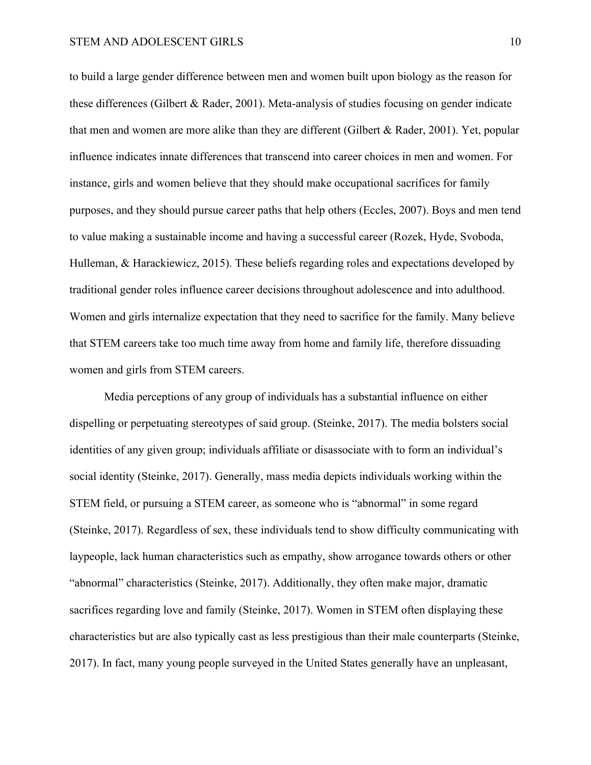to build a large gender difference between men and women built upon biology as the reason for these differences (Gilbert & Rader, 2001). Meta-analysis of studies focusing on gender indicate that men and women are more alike than they are different (Gilbert & Rader, 2001). Yet, popular influence indicates innate differences that transcend into career choices in men and women. For instance, girls and women believe that they should make occupational sacrifices for family purposes, and they should pursue career paths that help others (Eccles, 2007). Boys and men tend to value making a sustainable income and having a successful career (Rozek, Hyde, Svoboda, Hulleman, & Harackiewicz, 2015). These beliefs regarding roles and expectations developed by traditional gender roles influence career decisions throughout adolescence and into adulthood. Women and girls internalize expectation that they need to sacrifice for the family. Many believe that STEM careers take too much time away from home and family life, therefore dissuading women and girls from STEM careers.

Media perceptions of any group of individuals has a substantial influence on either dispelling or perpetuating stereotypes of said group. (Steinke, 2017). The media bolsters social identities of any given group; individuals affiliate or disassociate with to form an individual's social identity (Steinke, 2017). Generally, mass media depicts individuals working within the STEM field, or pursuing a STEM career, as someone who is "abnormal" in some regard (Steinke, 2017). Regardless of sex, these individuals tend to show difficulty communicating with laypeople, lack human characteristics such as empathy, show arrogance towards others or other "abnormal" characteristics (Steinke, 2017). Additionally, they often make major, dramatic sacrifices regarding love and family (Steinke, 2017). Women in STEM often displaying these characteristics but are also typically cast as less prestigious than their male counterparts (Steinke, 2017). In fact, many young people surveyed in the United States generally have an unpleasant,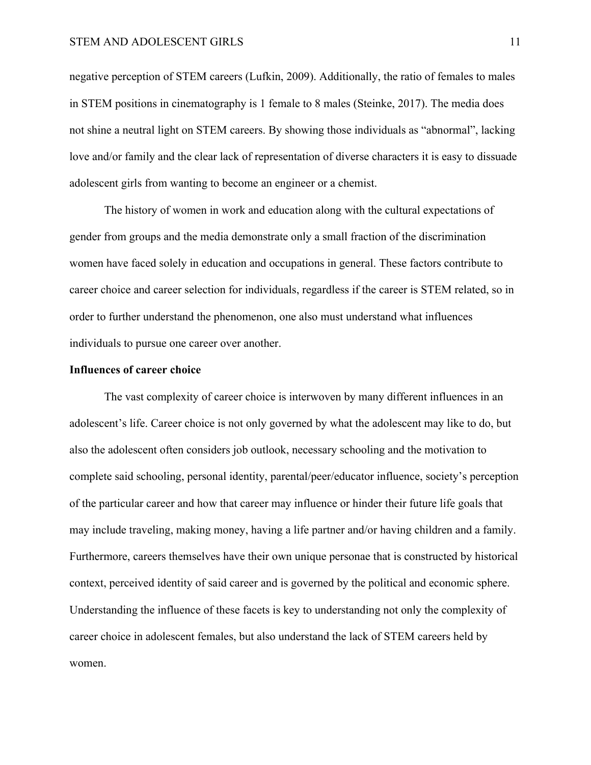negative perception of STEM careers (Lufkin, 2009). Additionally, the ratio of females to males in STEM positions in cinematography is 1 female to 8 males (Steinke, 2017). The media does not shine a neutral light on STEM careers. By showing those individuals as "abnormal", lacking love and/or family and the clear lack of representation of diverse characters it is easy to dissuade adolescent girls from wanting to become an engineer or a chemist.

The history of women in work and education along with the cultural expectations of gender from groups and the media demonstrate only a small fraction of the discrimination women have faced solely in education and occupations in general. These factors contribute to career choice and career selection for individuals, regardless if the career is STEM related, so in order to further understand the phenomenon, one also must understand what influences individuals to pursue one career over another.

#### **Influences of career choice**

The vast complexity of career choice is interwoven by many different influences in an adolescent's life. Career choice is not only governed by what the adolescent may like to do, but also the adolescent often considers job outlook, necessary schooling and the motivation to complete said schooling, personal identity, parental/peer/educator influence, society's perception of the particular career and how that career may influence or hinder their future life goals that may include traveling, making money, having a life partner and/or having children and a family. Furthermore, careers themselves have their own unique personae that is constructed by historical context, perceived identity of said career and is governed by the political and economic sphere. Understanding the influence of these facets is key to understanding not only the complexity of career choice in adolescent females, but also understand the lack of STEM careers held by women.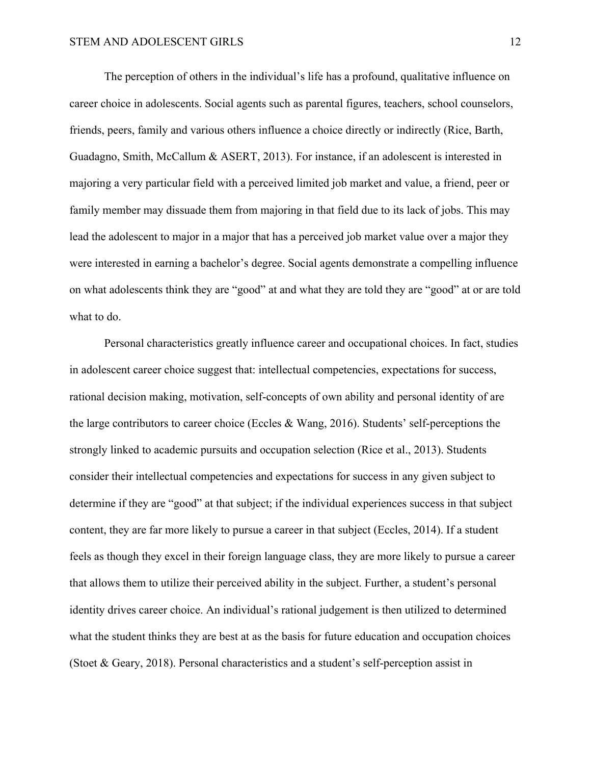The perception of others in the individual's life has a profound, qualitative influence on career choice in adolescents. Social agents such as parental figures, teachers, school counselors, friends, peers, family and various others influence a choice directly or indirectly (Rice, Barth, Guadagno, Smith, McCallum & ASERT, 2013). For instance, if an adolescent is interested in majoring a very particular field with a perceived limited job market and value, a friend, peer or family member may dissuade them from majoring in that field due to its lack of jobs. This may lead the adolescent to major in a major that has a perceived job market value over a major they were interested in earning a bachelor's degree. Social agents demonstrate a compelling influence on what adolescents think they are "good" at and what they are told they are "good" at or are told what to do.

Personal characteristics greatly influence career and occupational choices. In fact, studies in adolescent career choice suggest that: intellectual competencies, expectations for success, rational decision making, motivation, self-concepts of own ability and personal identity of are the large contributors to career choice (Eccles & Wang, 2016). Students' self-perceptions the strongly linked to academic pursuits and occupation selection (Rice et al., 2013). Students consider their intellectual competencies and expectations for success in any given subject to determine if they are "good" at that subject; if the individual experiences success in that subject content, they are far more likely to pursue a career in that subject (Eccles, 2014). If a student feels as though they excel in their foreign language class, they are more likely to pursue a career that allows them to utilize their perceived ability in the subject. Further, a student's personal identity drives career choice. An individual's rational judgement is then utilized to determined what the student thinks they are best at as the basis for future education and occupation choices (Stoet & Geary, 2018). Personal characteristics and a student's self-perception assist in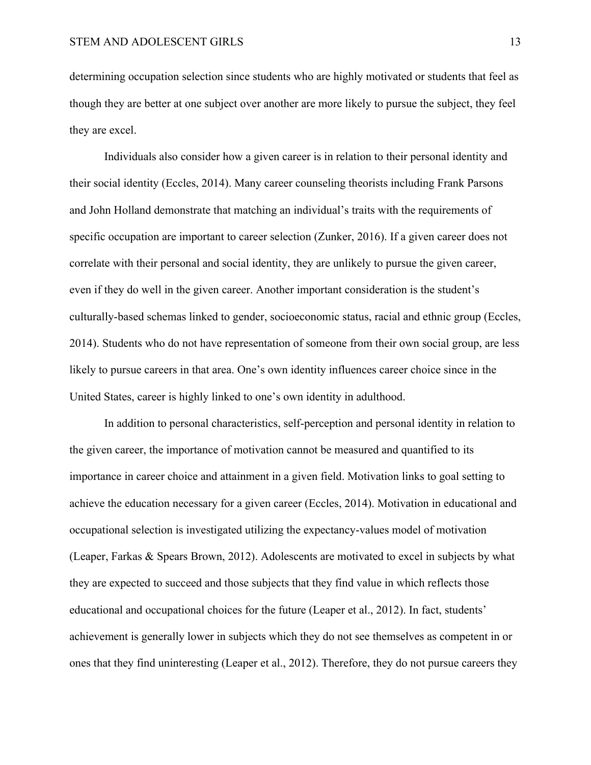determining occupation selection since students who are highly motivated or students that feel as though they are better at one subject over another are more likely to pursue the subject, they feel they are excel.

Individuals also consider how a given career is in relation to their personal identity and their social identity (Eccles, 2014). Many career counseling theorists including Frank Parsons and John Holland demonstrate that matching an individual's traits with the requirements of specific occupation are important to career selection (Zunker, 2016). If a given career does not correlate with their personal and social identity, they are unlikely to pursue the given career, even if they do well in the given career. Another important consideration is the student's culturally-based schemas linked to gender, socioeconomic status, racial and ethnic group (Eccles, 2014). Students who do not have representation of someone from their own social group, are less likely to pursue careers in that area. One's own identity influences career choice since in the United States, career is highly linked to one's own identity in adulthood.

In addition to personal characteristics, self-perception and personal identity in relation to the given career, the importance of motivation cannot be measured and quantified to its importance in career choice and attainment in a given field. Motivation links to goal setting to achieve the education necessary for a given career (Eccles, 2014). Motivation in educational and occupational selection is investigated utilizing the expectancy-values model of motivation (Leaper, Farkas & Spears Brown, 2012). Adolescents are motivated to excel in subjects by what they are expected to succeed and those subjects that they find value in which reflects those educational and occupational choices for the future (Leaper et al., 2012). In fact, students' achievement is generally lower in subjects which they do not see themselves as competent in or ones that they find uninteresting (Leaper et al., 2012). Therefore, they do not pursue careers they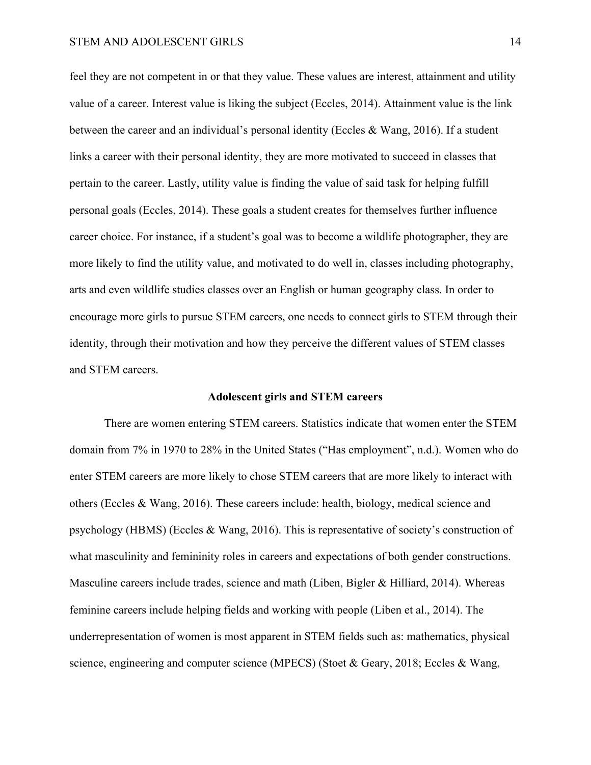feel they are not competent in or that they value. These values are interest, attainment and utility value of a career. Interest value is liking the subject (Eccles, 2014). Attainment value is the link between the career and an individual's personal identity (Eccles & Wang, 2016). If a student links a career with their personal identity, they are more motivated to succeed in classes that pertain to the career. Lastly, utility value is finding the value of said task for helping fulfill personal goals (Eccles, 2014). These goals a student creates for themselves further influence career choice. For instance, if a student's goal was to become a wildlife photographer, they are more likely to find the utility value, and motivated to do well in, classes including photography, arts and even wildlife studies classes over an English or human geography class. In order to encourage more girls to pursue STEM careers, one needs to connect girls to STEM through their identity, through their motivation and how they perceive the different values of STEM classes and STEM careers.

#### **Adolescent girls and STEM careers**

There are women entering STEM careers. Statistics indicate that women enter the STEM domain from 7% in 1970 to 28% in the United States ("Has employment", n.d.). Women who do enter STEM careers are more likely to chose STEM careers that are more likely to interact with others (Eccles & Wang, 2016). These careers include: health, biology, medical science and psychology (HBMS) (Eccles & Wang, 2016). This is representative of society's construction of what masculinity and femininity roles in careers and expectations of both gender constructions. Masculine careers include trades, science and math (Liben, Bigler & Hilliard, 2014). Whereas feminine careers include helping fields and working with people (Liben et al., 2014). The underrepresentation of women is most apparent in STEM fields such as: mathematics, physical science, engineering and computer science (MPECS) (Stoet & Geary, 2018; Eccles & Wang,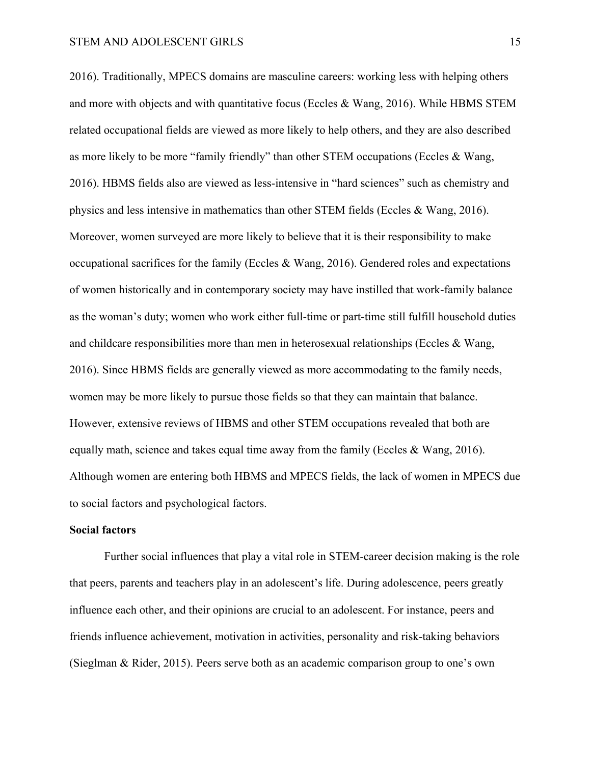2016). Traditionally, MPECS domains are masculine careers: working less with helping others and more with objects and with quantitative focus (Eccles & Wang, 2016). While HBMS STEM related occupational fields are viewed as more likely to help others, and they are also described as more likely to be more "family friendly" than other STEM occupations (Eccles & Wang, 2016). HBMS fields also are viewed as less-intensive in "hard sciences" such as chemistry and physics and less intensive in mathematics than other STEM fields (Eccles  $\&$  Wang, 2016). Moreover, women surveyed are more likely to believe that it is their responsibility to make occupational sacrifices for the family (Eccles & Wang, 2016). Gendered roles and expectations of women historically and in contemporary society may have instilled that work-family balance as the woman's duty; women who work either full-time or part-time still fulfill household duties and childcare responsibilities more than men in heterosexual relationships (Eccles & Wang, 2016). Since HBMS fields are generally viewed as more accommodating to the family needs, women may be more likely to pursue those fields so that they can maintain that balance. However, extensive reviews of HBMS and other STEM occupations revealed that both are equally math, science and takes equal time away from the family (Eccles & Wang, 2016). Although women are entering both HBMS and MPECS fields, the lack of women in MPECS due to social factors and psychological factors.

#### **Social factors**

Further social influences that play a vital role in STEM-career decision making is the role that peers, parents and teachers play in an adolescent's life. During adolescence, peers greatly influence each other, and their opinions are crucial to an adolescent. For instance, peers and friends influence achievement, motivation in activities, personality and risk-taking behaviors (Sieglman & Rider, 2015). Peers serve both as an academic comparison group to one's own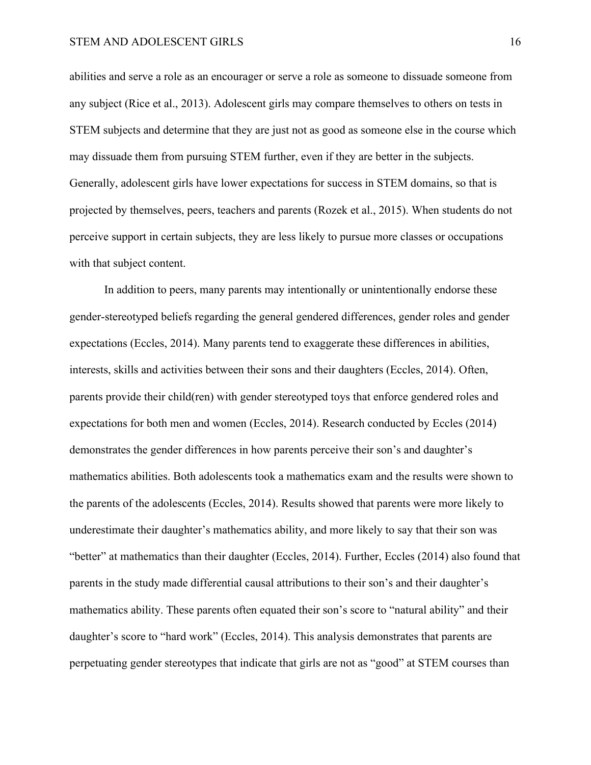abilities and serve a role as an encourager or serve a role as someone to dissuade someone from any subject (Rice et al., 2013). Adolescent girls may compare themselves to others on tests in STEM subjects and determine that they are just not as good as someone else in the course which may dissuade them from pursuing STEM further, even if they are better in the subjects. Generally, adolescent girls have lower expectations for success in STEM domains, so that is projected by themselves, peers, teachers and parents (Rozek et al., 2015). When students do not perceive support in certain subjects, they are less likely to pursue more classes or occupations with that subject content.

In addition to peers, many parents may intentionally or unintentionally endorse these gender-stereotyped beliefs regarding the general gendered differences, gender roles and gender expectations (Eccles, 2014). Many parents tend to exaggerate these differences in abilities, interests, skills and activities between their sons and their daughters (Eccles, 2014). Often, parents provide their child(ren) with gender stereotyped toys that enforce gendered roles and expectations for both men and women (Eccles, 2014). Research conducted by Eccles (2014) demonstrates the gender differences in how parents perceive their son's and daughter's mathematics abilities. Both adolescents took a mathematics exam and the results were shown to the parents of the adolescents (Eccles, 2014). Results showed that parents were more likely to underestimate their daughter's mathematics ability, and more likely to say that their son was "better" at mathematics than their daughter (Eccles, 2014). Further, Eccles (2014) also found that parents in the study made differential causal attributions to their son's and their daughter's mathematics ability. These parents often equated their son's score to "natural ability" and their daughter's score to "hard work" (Eccles, 2014). This analysis demonstrates that parents are perpetuating gender stereotypes that indicate that girls are not as "good" at STEM courses than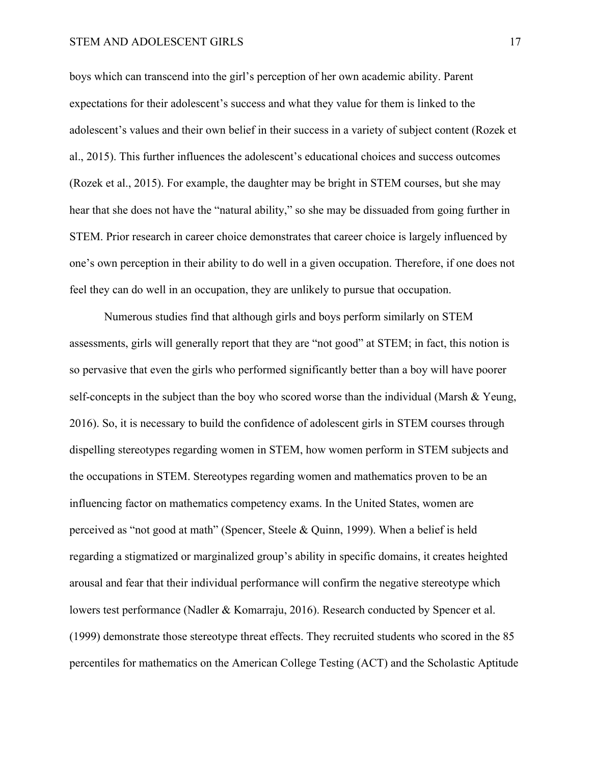#### STEM AND ADOLESCENT GIRLS 17

boys which can transcend into the girl's perception of her own academic ability. Parent expectations for their adolescent's success and what they value for them is linked to the adolescent's values and their own belief in their success in a variety of subject content (Rozek et al., 2015). This further influences the adolescent's educational choices and success outcomes (Rozek et al., 2015). For example, the daughter may be bright in STEM courses, but she may hear that she does not have the "natural ability," so she may be dissuaded from going further in STEM. Prior research in career choice demonstrates that career choice is largely influenced by one's own perception in their ability to do well in a given occupation. Therefore, if one does not feel they can do well in an occupation, they are unlikely to pursue that occupation.

Numerous studies find that although girls and boys perform similarly on STEM assessments, girls will generally report that they are "not good" at STEM; in fact, this notion is so pervasive that even the girls who performed significantly better than a boy will have poorer self-concepts in the subject than the boy who scored worse than the individual (Marsh & Yeung, 2016). So, it is necessary to build the confidence of adolescent girls in STEM courses through dispelling stereotypes regarding women in STEM, how women perform in STEM subjects and the occupations in STEM. Stereotypes regarding women and mathematics proven to be an influencing factor on mathematics competency exams. In the United States, women are perceived as "not good at math" (Spencer, Steele & Quinn, 1999). When a belief is held regarding a stigmatized or marginalized group's ability in specific domains, it creates heighted arousal and fear that their individual performance will confirm the negative stereotype which lowers test performance (Nadler & Komarraju, 2016). Research conducted by Spencer et al. (1999) demonstrate those stereotype threat effects. They recruited students who scored in the 85 percentiles for mathematics on the American College Testing (ACT) and the Scholastic Aptitude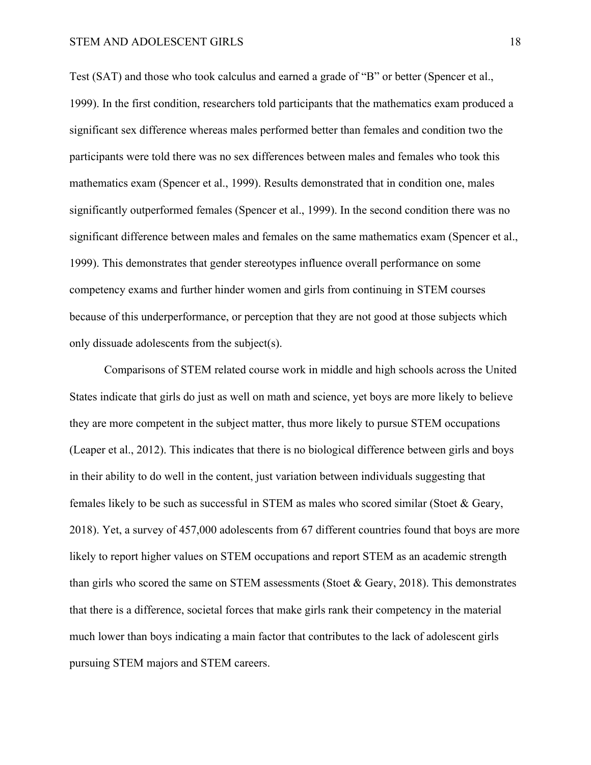#### STEM AND ADOLESCENT GIRLS 18

Test (SAT) and those who took calculus and earned a grade of "B" or better (Spencer et al., 1999). In the first condition, researchers told participants that the mathematics exam produced a significant sex difference whereas males performed better than females and condition two the participants were told there was no sex differences between males and females who took this mathematics exam (Spencer et al., 1999). Results demonstrated that in condition one, males significantly outperformed females (Spencer et al., 1999). In the second condition there was no significant difference between males and females on the same mathematics exam (Spencer et al., 1999). This demonstrates that gender stereotypes influence overall performance on some competency exams and further hinder women and girls from continuing in STEM courses because of this underperformance, or perception that they are not good at those subjects which only dissuade adolescents from the subject(s).

Comparisons of STEM related course work in middle and high schools across the United States indicate that girls do just as well on math and science, yet boys are more likely to believe they are more competent in the subject matter, thus more likely to pursue STEM occupations (Leaper et al., 2012). This indicates that there is no biological difference between girls and boys in their ability to do well in the content, just variation between individuals suggesting that females likely to be such as successful in STEM as males who scored similar (Stoet & Geary, 2018). Yet, a survey of 457,000 adolescents from 67 different countries found that boys are more likely to report higher values on STEM occupations and report STEM as an academic strength than girls who scored the same on STEM assessments (Stoet & Geary, 2018). This demonstrates that there is a difference, societal forces that make girls rank their competency in the material much lower than boys indicating a main factor that contributes to the lack of adolescent girls pursuing STEM majors and STEM careers.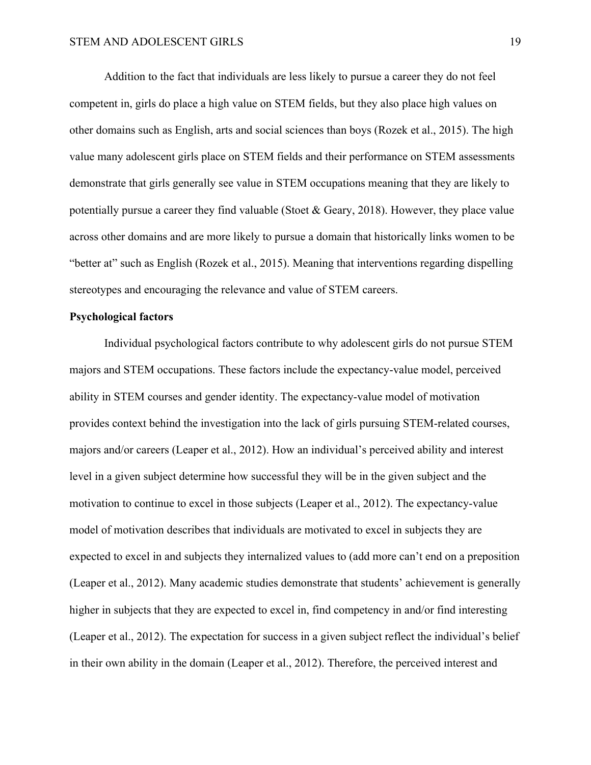Addition to the fact that individuals are less likely to pursue a career they do not feel competent in, girls do place a high value on STEM fields, but they also place high values on other domains such as English, arts and social sciences than boys (Rozek et al., 2015). The high value many adolescent girls place on STEM fields and their performance on STEM assessments demonstrate that girls generally see value in STEM occupations meaning that they are likely to potentially pursue a career they find valuable (Stoet & Geary, 2018). However, they place value across other domains and are more likely to pursue a domain that historically links women to be "better at" such as English (Rozek et al., 2015). Meaning that interventions regarding dispelling stereotypes and encouraging the relevance and value of STEM careers.

#### **Psychological factors**

Individual psychological factors contribute to why adolescent girls do not pursue STEM majors and STEM occupations. These factors include the expectancy-value model, perceived ability in STEM courses and gender identity. The expectancy-value model of motivation provides context behind the investigation into the lack of girls pursuing STEM-related courses, majors and/or careers (Leaper et al., 2012). How an individual's perceived ability and interest level in a given subject determine how successful they will be in the given subject and the motivation to continue to excel in those subjects (Leaper et al., 2012). The expectancy-value model of motivation describes that individuals are motivated to excel in subjects they are expected to excel in and subjects they internalized values to (add more can't end on a preposition (Leaper et al., 2012). Many academic studies demonstrate that students' achievement is generally higher in subjects that they are expected to excel in, find competency in and/or find interesting (Leaper et al., 2012). The expectation for success in a given subject reflect the individual's belief in their own ability in the domain (Leaper et al., 2012). Therefore, the perceived interest and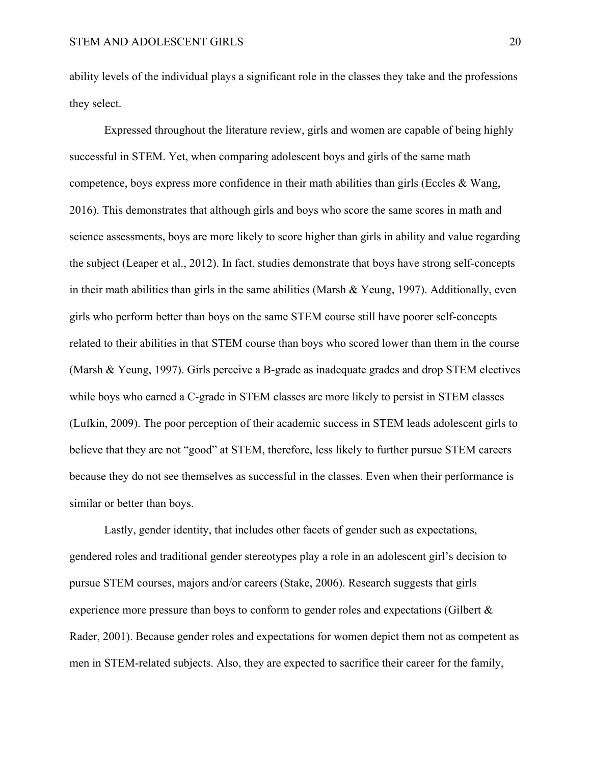ability levels of the individual plays a significant role in the classes they take and the professions they select.

Expressed throughout the literature review, girls and women are capable of being highly successful in STEM. Yet, when comparing adolescent boys and girls of the same math competence, boys express more confidence in their math abilities than girls (Eccles & Wang, 2016). This demonstrates that although girls and boys who score the same scores in math and science assessments, boys are more likely to score higher than girls in ability and value regarding the subject (Leaper et al., 2012). In fact, studies demonstrate that boys have strong self-concepts in their math abilities than girls in the same abilities (Marsh & Yeung, 1997). Additionally, even girls who perform better than boys on the same STEM course still have poorer self-concepts related to their abilities in that STEM course than boys who scored lower than them in the course (Marsh & Yeung, 1997). Girls perceive a B-grade as inadequate grades and drop STEM electives while boys who earned a C-grade in STEM classes are more likely to persist in STEM classes (Lufkin, 2009). The poor perception of their academic success in STEM leads adolescent girls to believe that they are not "good" at STEM, therefore, less likely to further pursue STEM careers because they do not see themselves as successful in the classes. Even when their performance is similar or better than boys.

Lastly, gender identity, that includes other facets of gender such as expectations, gendered roles and traditional gender stereotypes play a role in an adolescent girl's decision to pursue STEM courses, majors and/or careers (Stake, 2006). Research suggests that girls experience more pressure than boys to conform to gender roles and expectations (Gilbert & Rader, 2001). Because gender roles and expectations for women depict them not as competent as men in STEM-related subjects. Also, they are expected to sacrifice their career for the family,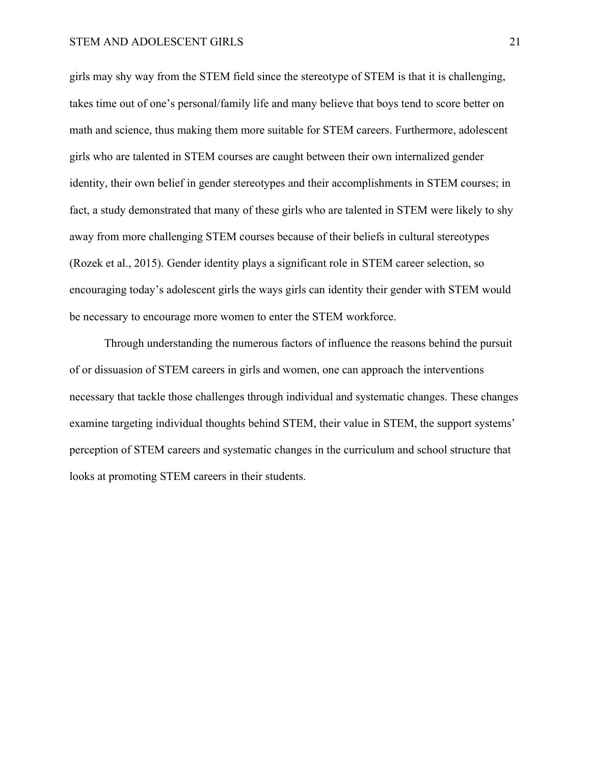girls may shy way from the STEM field since the stereotype of STEM is that it is challenging, takes time out of one's personal/family life and many believe that boys tend to score better on math and science, thus making them more suitable for STEM careers. Furthermore, adolescent girls who are talented in STEM courses are caught between their own internalized gender identity, their own belief in gender stereotypes and their accomplishments in STEM courses; in fact, a study demonstrated that many of these girls who are talented in STEM were likely to shy away from more challenging STEM courses because of their beliefs in cultural stereotypes (Rozek et al., 2015). Gender identity plays a significant role in STEM career selection, so encouraging today's adolescent girls the ways girls can identity their gender with STEM would be necessary to encourage more women to enter the STEM workforce.

Through understanding the numerous factors of influence the reasons behind the pursuit of or dissuasion of STEM careers in girls and women, one can approach the interventions necessary that tackle those challenges through individual and systematic changes. These changes examine targeting individual thoughts behind STEM, their value in STEM, the support systems' perception of STEM careers and systematic changes in the curriculum and school structure that looks at promoting STEM careers in their students.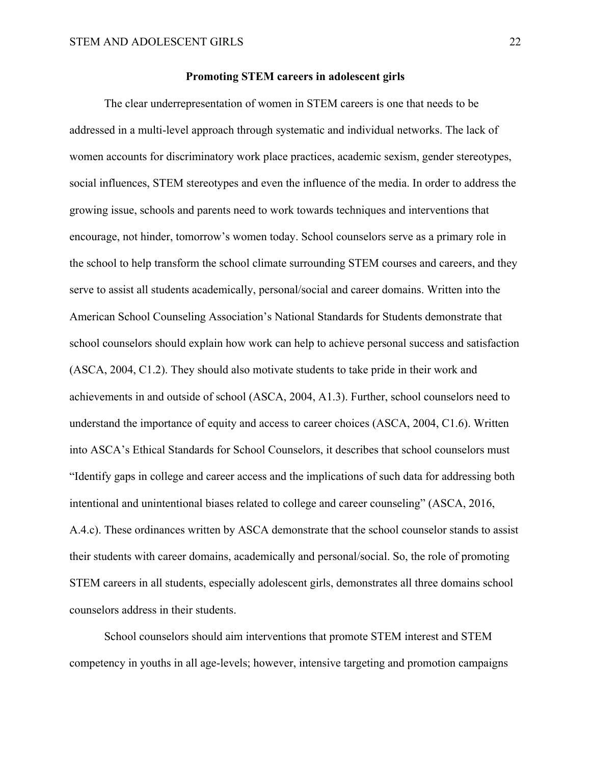#### **Promoting STEM careers in adolescent girls**

The clear underrepresentation of women in STEM careers is one that needs to be addressed in a multi-level approach through systematic and individual networks. The lack of women accounts for discriminatory work place practices, academic sexism, gender stereotypes, social influences, STEM stereotypes and even the influence of the media. In order to address the growing issue, schools and parents need to work towards techniques and interventions that encourage, not hinder, tomorrow's women today. School counselors serve as a primary role in the school to help transform the school climate surrounding STEM courses and careers, and they serve to assist all students academically, personal/social and career domains. Written into the American School Counseling Association's National Standards for Students demonstrate that school counselors should explain how work can help to achieve personal success and satisfaction (ASCA, 2004, C1.2). They should also motivate students to take pride in their work and achievements in and outside of school (ASCA, 2004, A1.3). Further, school counselors need to understand the importance of equity and access to career choices (ASCA, 2004, C1.6). Written into ASCA's Ethical Standards for School Counselors, it describes that school counselors must "Identify gaps in college and career access and the implications of such data for addressing both intentional and unintentional biases related to college and career counseling" (ASCA, 2016, A.4.c). These ordinances written by ASCA demonstrate that the school counselor stands to assist their students with career domains, academically and personal/social. So, the role of promoting STEM careers in all students, especially adolescent girls, demonstrates all three domains school counselors address in their students.

School counselors should aim interventions that promote STEM interest and STEM competency in youths in all age-levels; however, intensive targeting and promotion campaigns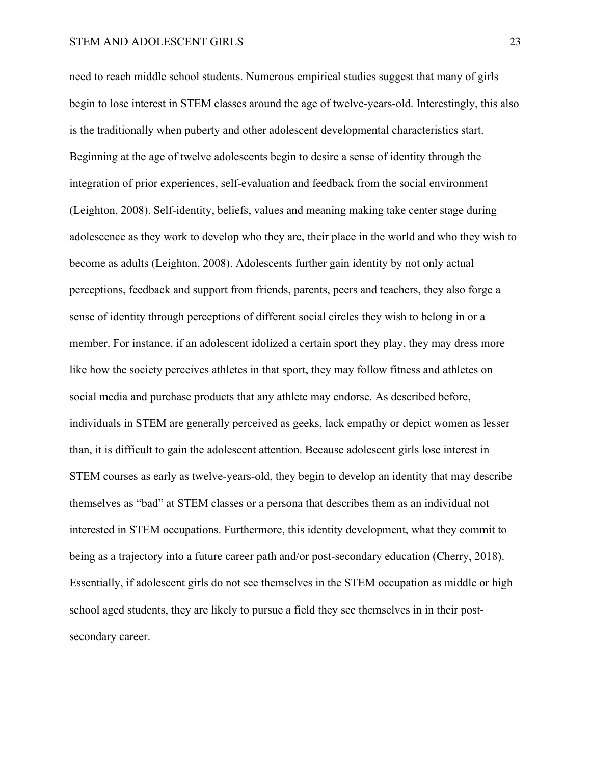need to reach middle school students. Numerous empirical studies suggest that many of girls begin to lose interest in STEM classes around the age of twelve-years-old. Interestingly, this also is the traditionally when puberty and other adolescent developmental characteristics start. Beginning at the age of twelve adolescents begin to desire a sense of identity through the integration of prior experiences, self-evaluation and feedback from the social environment (Leighton, 2008). Self-identity, beliefs, values and meaning making take center stage during adolescence as they work to develop who they are, their place in the world and who they wish to become as adults (Leighton, 2008). Adolescents further gain identity by not only actual perceptions, feedback and support from friends, parents, peers and teachers, they also forge a sense of identity through perceptions of different social circles they wish to belong in or a member. For instance, if an adolescent idolized a certain sport they play, they may dress more like how the society perceives athletes in that sport, they may follow fitness and athletes on social media and purchase products that any athlete may endorse. As described before, individuals in STEM are generally perceived as geeks, lack empathy or depict women as lesser than, it is difficult to gain the adolescent attention. Because adolescent girls lose interest in STEM courses as early as twelve-years-old, they begin to develop an identity that may describe themselves as "bad" at STEM classes or a persona that describes them as an individual not interested in STEM occupations. Furthermore, this identity development, what they commit to being as a trajectory into a future career path and/or post-secondary education (Cherry, 2018). Essentially, if adolescent girls do not see themselves in the STEM occupation as middle or high school aged students, they are likely to pursue a field they see themselves in in their postsecondary career.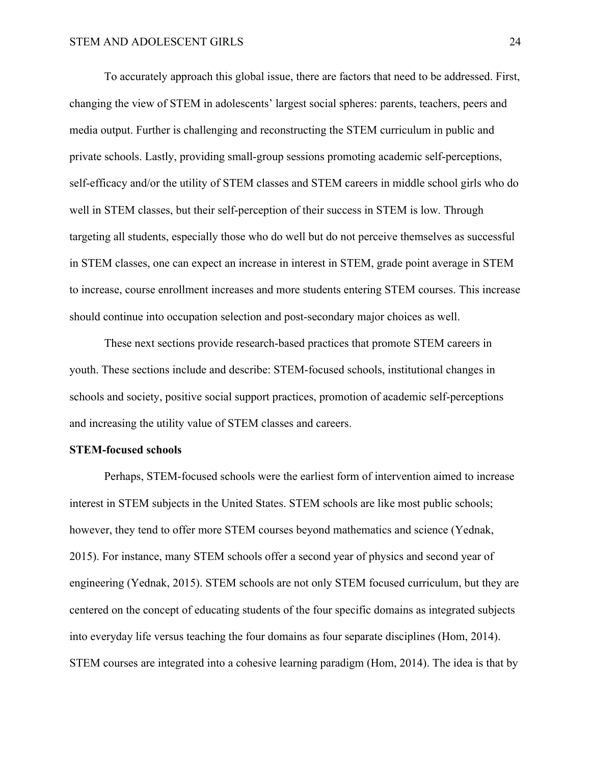To accurately approach this global issue, there are factors that need to be addressed. First, changing the view of STEM in adolescents' largest social spheres: parents, teachers, peers and media output. Further is challenging and reconstructing the STEM curriculum in public and private schools. Lastly, providing small-group sessions promoting academic self-perceptions, self-efficacy and/or the utility of STEM classes and STEM careers in middle school girls who do well in STEM classes, but their self-perception of their success in STEM is low. Through targeting all students, especially those who do well but do not perceive themselves as successful in STEM classes, one can expect an increase in interest in STEM, grade point average in STEM to increase, course enrollment increases and more students entering STEM courses. This increase should continue into occupation selection and post-secondary major choices as well.

These next sections provide research-based practices that promote STEM careers in youth. These sections include and describe: STEM-focused schools, institutional changes in schools and society, positive social support practices, promotion of academic self-perceptions and increasing the utility value of STEM classes and careers.

#### **STEM-focused schools**

Perhaps, STEM-focused schools were the earliest form of intervention aimed to increase interest in STEM subjects in the United States. STEM schools are like most public schools; however, they tend to offer more STEM courses beyond mathematics and science (Yednak, 2015). For instance, many STEM schools offer a second year of physics and second year of engineering (Yednak, 2015). STEM schools are not only STEM focused curriculum, but they are centered on the concept of educating students of the four specific domains as integrated subjects into everyday life versus teaching the four domains as four separate disciplines (Hom, 2014). STEM courses are integrated into a cohesive learning paradigm (Hom, 2014). The idea is that by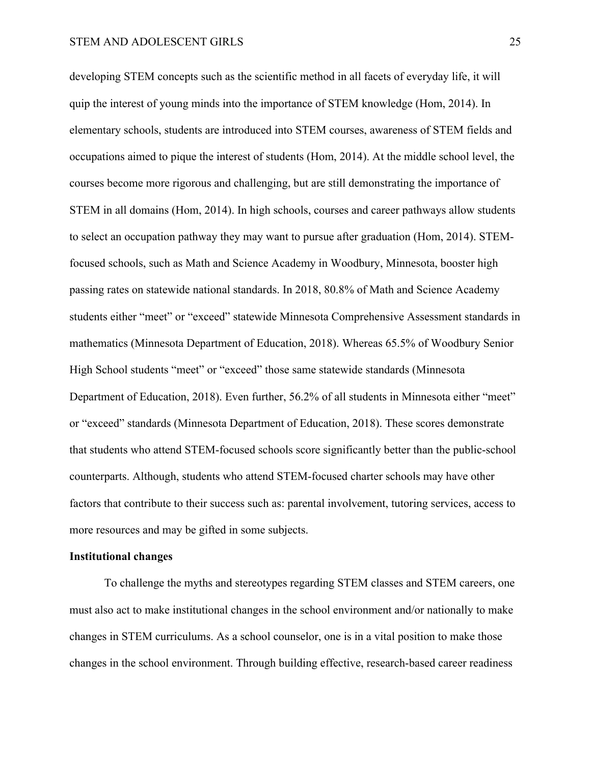developing STEM concepts such as the scientific method in all facets of everyday life, it will quip the interest of young minds into the importance of STEM knowledge (Hom, 2014). In elementary schools, students are introduced into STEM courses, awareness of STEM fields and occupations aimed to pique the interest of students (Hom, 2014). At the middle school level, the courses become more rigorous and challenging, but are still demonstrating the importance of STEM in all domains (Hom, 2014). In high schools, courses and career pathways allow students to select an occupation pathway they may want to pursue after graduation (Hom, 2014). STEMfocused schools, such as Math and Science Academy in Woodbury, Minnesota, booster high passing rates on statewide national standards. In 2018, 80.8% of Math and Science Academy students either "meet" or "exceed" statewide Minnesota Comprehensive Assessment standards in mathematics (Minnesota Department of Education, 2018). Whereas 65.5% of Woodbury Senior High School students "meet" or "exceed" those same statewide standards (Minnesota Department of Education, 2018). Even further, 56.2% of all students in Minnesota either "meet" or "exceed" standards (Minnesota Department of Education, 2018). These scores demonstrate that students who attend STEM-focused schools score significantly better than the public-school counterparts. Although, students who attend STEM-focused charter schools may have other factors that contribute to their success such as: parental involvement, tutoring services, access to more resources and may be gifted in some subjects.

#### **Institutional changes**

To challenge the myths and stereotypes regarding STEM classes and STEM careers, one must also act to make institutional changes in the school environment and/or nationally to make changes in STEM curriculums. As a school counselor, one is in a vital position to make those changes in the school environment. Through building effective, research-based career readiness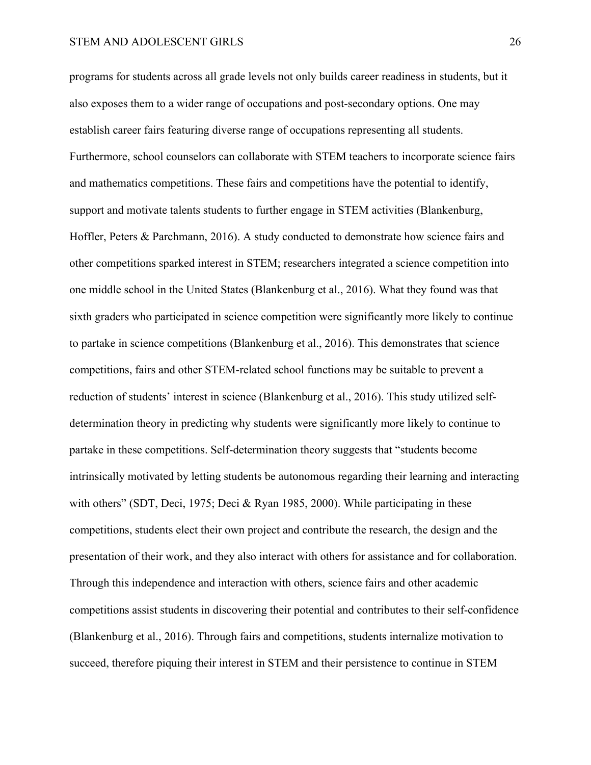programs for students across all grade levels not only builds career readiness in students, but it also exposes them to a wider range of occupations and post-secondary options. One may establish career fairs featuring diverse range of occupations representing all students. Furthermore, school counselors can collaborate with STEM teachers to incorporate science fairs and mathematics competitions. These fairs and competitions have the potential to identify, support and motivate talents students to further engage in STEM activities (Blankenburg, Hoffler, Peters & Parchmann, 2016). A study conducted to demonstrate how science fairs and other competitions sparked interest in STEM; researchers integrated a science competition into one middle school in the United States (Blankenburg et al., 2016). What they found was that sixth graders who participated in science competition were significantly more likely to continue to partake in science competitions (Blankenburg et al., 2016). This demonstrates that science competitions, fairs and other STEM-related school functions may be suitable to prevent a reduction of students' interest in science (Blankenburg et al., 2016). This study utilized selfdetermination theory in predicting why students were significantly more likely to continue to partake in these competitions. Self-determination theory suggests that "students become intrinsically motivated by letting students be autonomous regarding their learning and interacting with others" (SDT, Deci, 1975; Deci & Ryan 1985, 2000). While participating in these competitions, students elect their own project and contribute the research, the design and the presentation of their work, and they also interact with others for assistance and for collaboration. Through this independence and interaction with others, science fairs and other academic competitions assist students in discovering their potential and contributes to their self-confidence (Blankenburg et al., 2016). Through fairs and competitions, students internalize motivation to succeed, therefore piquing their interest in STEM and their persistence to continue in STEM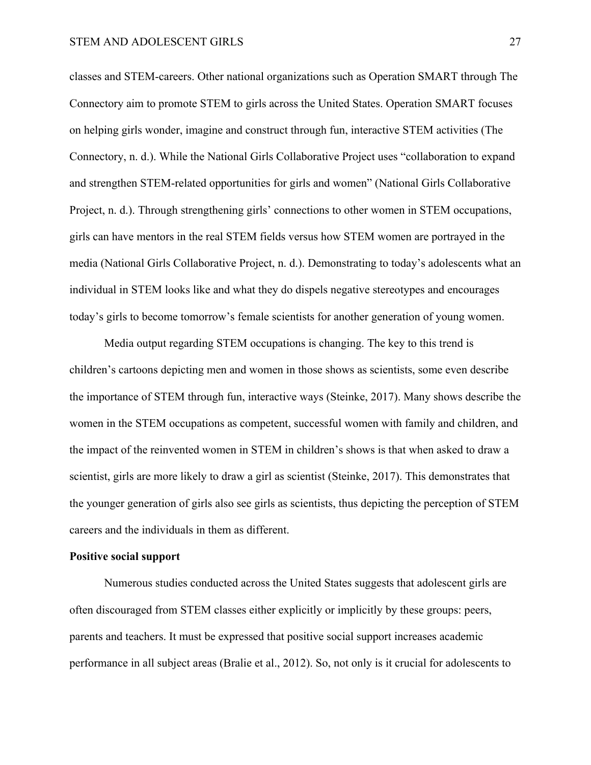classes and STEM-careers. Other national organizations such as Operation SMART through The Connectory aim to promote STEM to girls across the United States. Operation SMART focuses on helping girls wonder, imagine and construct through fun, interactive STEM activities (The Connectory, n. d.). While the National Girls Collaborative Project uses "collaboration to expand and strengthen STEM-related opportunities for girls and women" (National Girls Collaborative Project, n. d.). Through strengthening girls' connections to other women in STEM occupations, girls can have mentors in the real STEM fields versus how STEM women are portrayed in the media (National Girls Collaborative Project, n. d.). Demonstrating to today's adolescents what an individual in STEM looks like and what they do dispels negative stereotypes and encourages today's girls to become tomorrow's female scientists for another generation of young women.

Media output regarding STEM occupations is changing. The key to this trend is children's cartoons depicting men and women in those shows as scientists, some even describe the importance of STEM through fun, interactive ways (Steinke, 2017). Many shows describe the women in the STEM occupations as competent, successful women with family and children, and the impact of the reinvented women in STEM in children's shows is that when asked to draw a scientist, girls are more likely to draw a girl as scientist (Steinke, 2017). This demonstrates that the younger generation of girls also see girls as scientists, thus depicting the perception of STEM careers and the individuals in them as different.

#### **Positive social support**

Numerous studies conducted across the United States suggests that adolescent girls are often discouraged from STEM classes either explicitly or implicitly by these groups: peers, parents and teachers. It must be expressed that positive social support increases academic performance in all subject areas (Bralie et al., 2012). So, not only is it crucial for adolescents to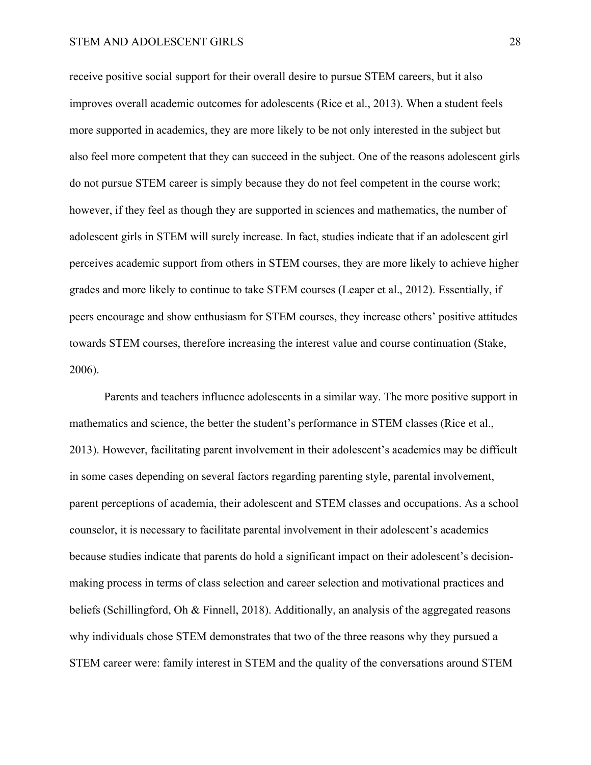#### STEM AND ADOLESCENT GIRLS 28

receive positive social support for their overall desire to pursue STEM careers, but it also improves overall academic outcomes for adolescents (Rice et al., 2013). When a student feels more supported in academics, they are more likely to be not only interested in the subject but also feel more competent that they can succeed in the subject. One of the reasons adolescent girls do not pursue STEM career is simply because they do not feel competent in the course work; however, if they feel as though they are supported in sciences and mathematics, the number of adolescent girls in STEM will surely increase. In fact, studies indicate that if an adolescent girl perceives academic support from others in STEM courses, they are more likely to achieve higher grades and more likely to continue to take STEM courses (Leaper et al., 2012). Essentially, if peers encourage and show enthusiasm for STEM courses, they increase others' positive attitudes towards STEM courses, therefore increasing the interest value and course continuation (Stake, 2006).

Parents and teachers influence adolescents in a similar way. The more positive support in mathematics and science, the better the student's performance in STEM classes (Rice et al., 2013). However, facilitating parent involvement in their adolescent's academics may be difficult in some cases depending on several factors regarding parenting style, parental involvement, parent perceptions of academia, their adolescent and STEM classes and occupations. As a school counselor, it is necessary to facilitate parental involvement in their adolescent's academics because studies indicate that parents do hold a significant impact on their adolescent's decisionmaking process in terms of class selection and career selection and motivational practices and beliefs (Schillingford, Oh & Finnell, 2018). Additionally, an analysis of the aggregated reasons why individuals chose STEM demonstrates that two of the three reasons why they pursued a STEM career were: family interest in STEM and the quality of the conversations around STEM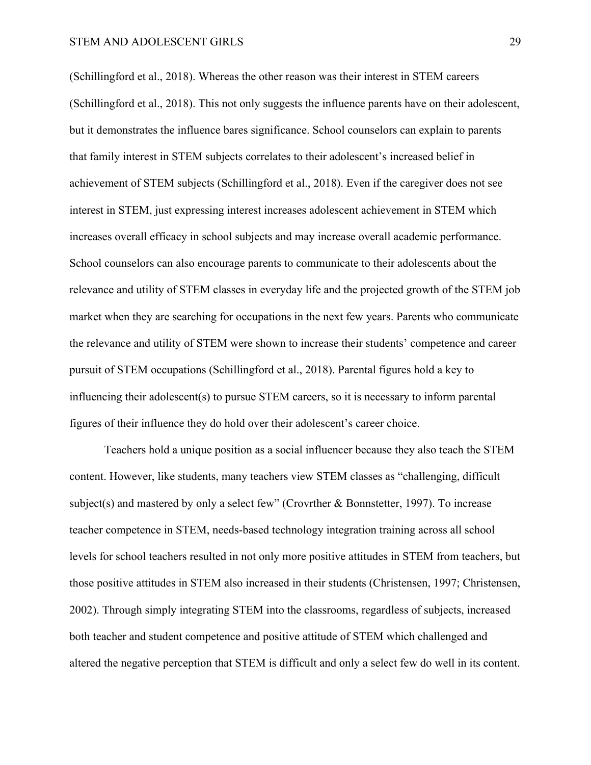(Schillingford et al., 2018). Whereas the other reason was their interest in STEM careers (Schillingford et al., 2018). This not only suggests the influence parents have on their adolescent, but it demonstrates the influence bares significance. School counselors can explain to parents that family interest in STEM subjects correlates to their adolescent's increased belief in achievement of STEM subjects (Schillingford et al., 2018). Even if the caregiver does not see interest in STEM, just expressing interest increases adolescent achievement in STEM which increases overall efficacy in school subjects and may increase overall academic performance. School counselors can also encourage parents to communicate to their adolescents about the relevance and utility of STEM classes in everyday life and the projected growth of the STEM job market when they are searching for occupations in the next few years. Parents who communicate the relevance and utility of STEM were shown to increase their students' competence and career pursuit of STEM occupations (Schillingford et al., 2018). Parental figures hold a key to influencing their adolescent(s) to pursue STEM careers, so it is necessary to inform parental figures of their influence they do hold over their adolescent's career choice.

Teachers hold a unique position as a social influencer because they also teach the STEM content. However, like students, many teachers view STEM classes as "challenging, difficult subject(s) and mastered by only a select few" (Crovrther & Bonnstetter, 1997). To increase teacher competence in STEM, needs-based technology integration training across all school levels for school teachers resulted in not only more positive attitudes in STEM from teachers, but those positive attitudes in STEM also increased in their students (Christensen, 1997; Christensen, 2002). Through simply integrating STEM into the classrooms, regardless of subjects, increased both teacher and student competence and positive attitude of STEM which challenged and altered the negative perception that STEM is difficult and only a select few do well in its content.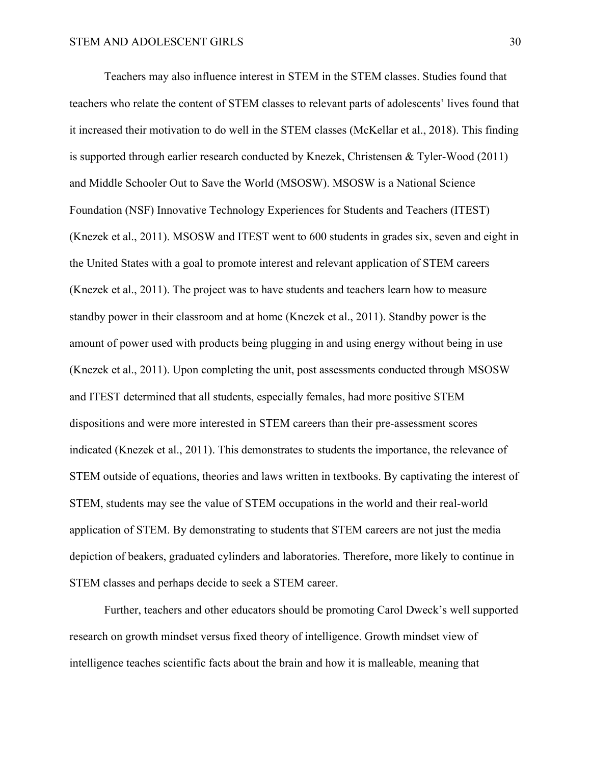Teachers may also influence interest in STEM in the STEM classes. Studies found that teachers who relate the content of STEM classes to relevant parts of adolescents' lives found that it increased their motivation to do well in the STEM classes (McKellar et al., 2018). This finding is supported through earlier research conducted by Knezek, Christensen & Tyler-Wood (2011) and Middle Schooler Out to Save the World (MSOSW). MSOSW is a National Science Foundation (NSF) Innovative Technology Experiences for Students and Teachers (ITEST) (Knezek et al., 2011). MSOSW and ITEST went to 600 students in grades six, seven and eight in the United States with a goal to promote interest and relevant application of STEM careers (Knezek et al., 2011). The project was to have students and teachers learn how to measure standby power in their classroom and at home (Knezek et al., 2011). Standby power is the amount of power used with products being plugging in and using energy without being in use (Knezek et al., 2011). Upon completing the unit, post assessments conducted through MSOSW and ITEST determined that all students, especially females, had more positive STEM dispositions and were more interested in STEM careers than their pre-assessment scores indicated (Knezek et al., 2011). This demonstrates to students the importance, the relevance of STEM outside of equations, theories and laws written in textbooks. By captivating the interest of STEM, students may see the value of STEM occupations in the world and their real-world application of STEM. By demonstrating to students that STEM careers are not just the media depiction of beakers, graduated cylinders and laboratories. Therefore, more likely to continue in STEM classes and perhaps decide to seek a STEM career.

Further, teachers and other educators should be promoting Carol Dweck's well supported research on growth mindset versus fixed theory of intelligence. Growth mindset view of intelligence teaches scientific facts about the brain and how it is malleable, meaning that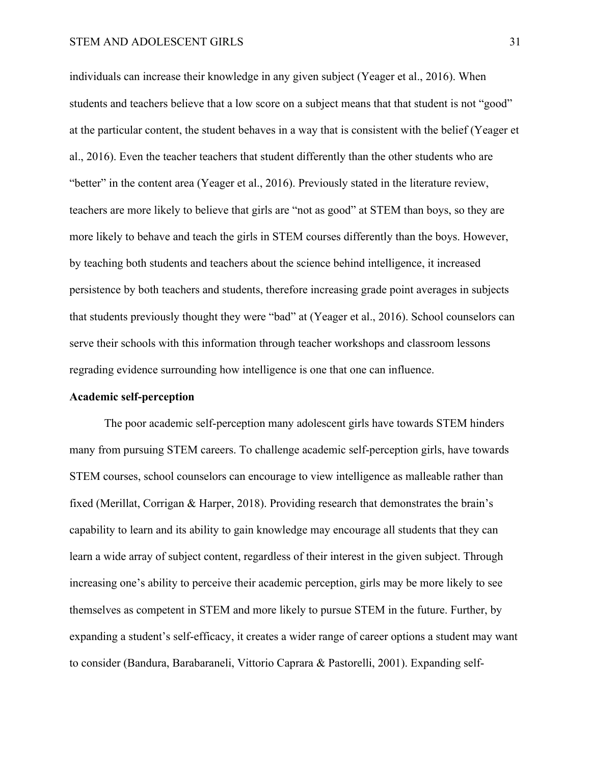#### STEM AND ADOLESCENT GIRLS 31

individuals can increase their knowledge in any given subject (Yeager et al., 2016). When students and teachers believe that a low score on a subject means that that student is not "good" at the particular content, the student behaves in a way that is consistent with the belief (Yeager et al., 2016). Even the teacher teachers that student differently than the other students who are "better" in the content area (Yeager et al., 2016). Previously stated in the literature review, teachers are more likely to believe that girls are "not as good" at STEM than boys, so they are more likely to behave and teach the girls in STEM courses differently than the boys. However, by teaching both students and teachers about the science behind intelligence, it increased persistence by both teachers and students, therefore increasing grade point averages in subjects that students previously thought they were "bad" at (Yeager et al., 2016). School counselors can serve their schools with this information through teacher workshops and classroom lessons regrading evidence surrounding how intelligence is one that one can influence.

#### **Academic self-perception**

The poor academic self-perception many adolescent girls have towards STEM hinders many from pursuing STEM careers. To challenge academic self-perception girls, have towards STEM courses, school counselors can encourage to view intelligence as malleable rather than fixed (Merillat, Corrigan & Harper, 2018). Providing research that demonstrates the brain's capability to learn and its ability to gain knowledge may encourage all students that they can learn a wide array of subject content, regardless of their interest in the given subject. Through increasing one's ability to perceive their academic perception, girls may be more likely to see themselves as competent in STEM and more likely to pursue STEM in the future. Further, by expanding a student's self-efficacy, it creates a wider range of career options a student may want to consider (Bandura, Barabaraneli, Vittorio Caprara & Pastorelli, 2001). Expanding self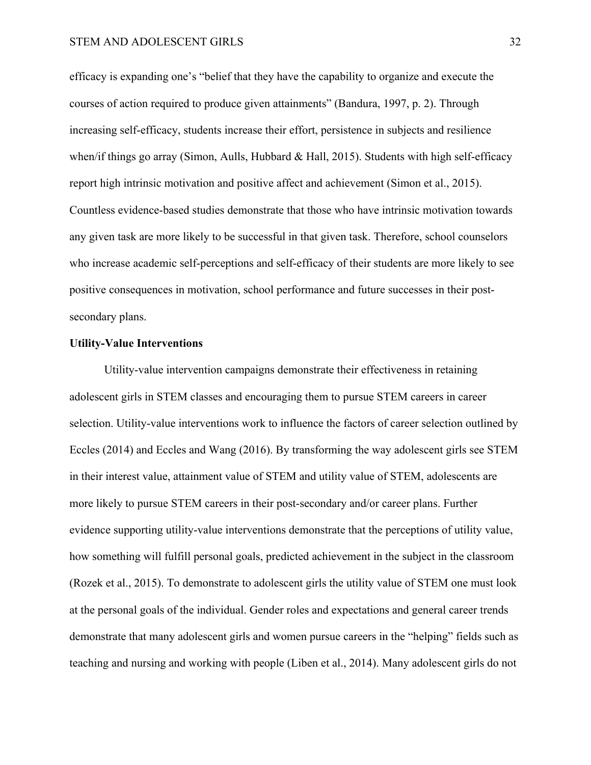efficacy is expanding one's "belief that they have the capability to organize and execute the courses of action required to produce given attainments" (Bandura, 1997, p. 2). Through increasing self-efficacy, students increase their effort, persistence in subjects and resilience when/if things go array (Simon, Aulls, Hubbard & Hall, 2015). Students with high self-efficacy report high intrinsic motivation and positive affect and achievement (Simon et al., 2015). Countless evidence-based studies demonstrate that those who have intrinsic motivation towards any given task are more likely to be successful in that given task. Therefore, school counselors who increase academic self-perceptions and self-efficacy of their students are more likely to see positive consequences in motivation, school performance and future successes in their postsecondary plans.

#### **Utility-Value Interventions**

Utility-value intervention campaigns demonstrate their effectiveness in retaining adolescent girls in STEM classes and encouraging them to pursue STEM careers in career selection. Utility-value interventions work to influence the factors of career selection outlined by Eccles (2014) and Eccles and Wang (2016). By transforming the way adolescent girls see STEM in their interest value, attainment value of STEM and utility value of STEM, adolescents are more likely to pursue STEM careers in their post-secondary and/or career plans. Further evidence supporting utility-value interventions demonstrate that the perceptions of utility value, how something will fulfill personal goals, predicted achievement in the subject in the classroom (Rozek et al., 2015). To demonstrate to adolescent girls the utility value of STEM one must look at the personal goals of the individual. Gender roles and expectations and general career trends demonstrate that many adolescent girls and women pursue careers in the "helping" fields such as teaching and nursing and working with people (Liben et al., 2014). Many adolescent girls do not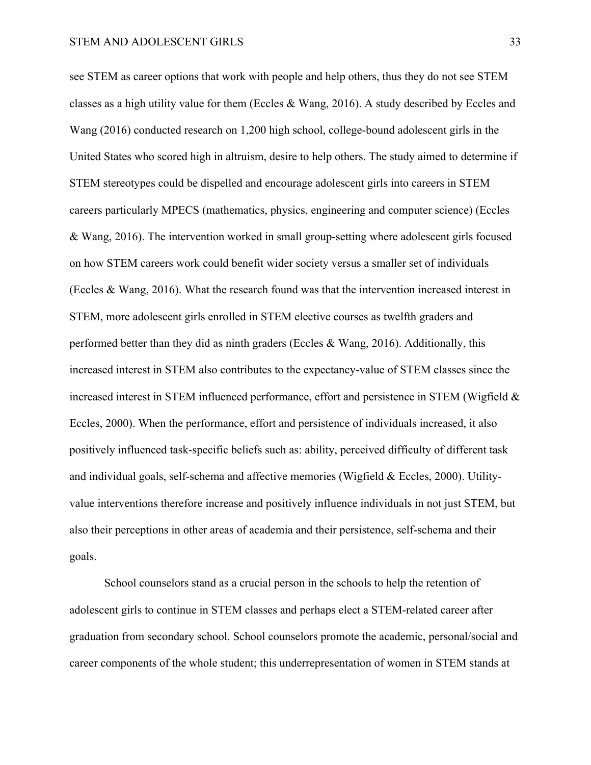see STEM as career options that work with people and help others, thus they do not see STEM classes as a high utility value for them (Eccles & Wang, 2016). A study described by Eccles and Wang (2016) conducted research on 1,200 high school, college-bound adolescent girls in the United States who scored high in altruism, desire to help others. The study aimed to determine if STEM stereotypes could be dispelled and encourage adolescent girls into careers in STEM careers particularly MPECS (mathematics, physics, engineering and computer science) (Eccles & Wang, 2016). The intervention worked in small group-setting where adolescent girls focused on how STEM careers work could benefit wider society versus a smaller set of individuals (Eccles & Wang, 2016). What the research found was that the intervention increased interest in STEM, more adolescent girls enrolled in STEM elective courses as twelfth graders and performed better than they did as ninth graders (Eccles & Wang, 2016). Additionally, this increased interest in STEM also contributes to the expectancy-value of STEM classes since the increased interest in STEM influenced performance, effort and persistence in STEM (Wigfield & Eccles, 2000). When the performance, effort and persistence of individuals increased, it also positively influenced task-specific beliefs such as: ability, perceived difficulty of different task and individual goals, self-schema and affective memories (Wigfield & Eccles, 2000). Utilityvalue interventions therefore increase and positively influence individuals in not just STEM, but also their perceptions in other areas of academia and their persistence, self-schema and their goals.

School counselors stand as a crucial person in the schools to help the retention of adolescent girls to continue in STEM classes and perhaps elect a STEM-related career after graduation from secondary school. School counselors promote the academic, personal/social and career components of the whole student; this underrepresentation of women in STEM stands at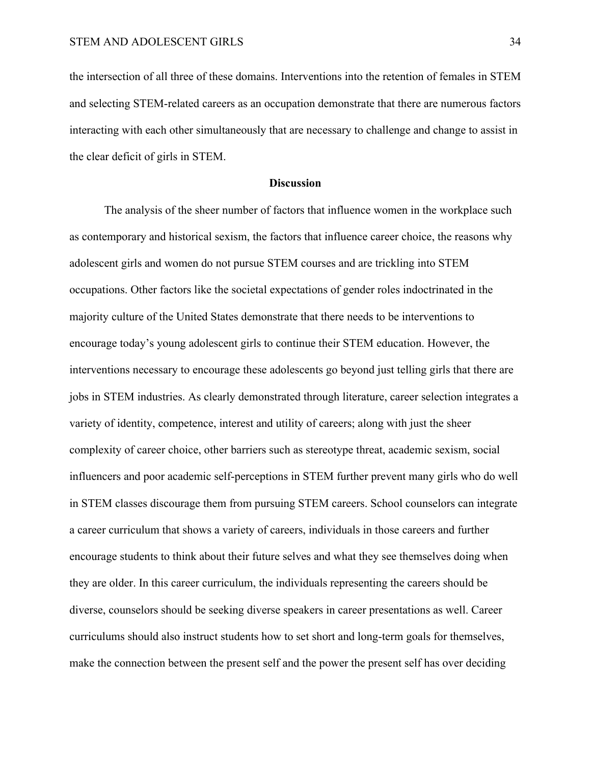the intersection of all three of these domains. Interventions into the retention of females in STEM and selecting STEM-related careers as an occupation demonstrate that there are numerous factors interacting with each other simultaneously that are necessary to challenge and change to assist in the clear deficit of girls in STEM.

#### **Discussion**

The analysis of the sheer number of factors that influence women in the workplace such as contemporary and historical sexism, the factors that influence career choice, the reasons why adolescent girls and women do not pursue STEM courses and are trickling into STEM occupations. Other factors like the societal expectations of gender roles indoctrinated in the majority culture of the United States demonstrate that there needs to be interventions to encourage today's young adolescent girls to continue their STEM education. However, the interventions necessary to encourage these adolescents go beyond just telling girls that there are jobs in STEM industries. As clearly demonstrated through literature, career selection integrates a variety of identity, competence, interest and utility of careers; along with just the sheer complexity of career choice, other barriers such as stereotype threat, academic sexism, social influencers and poor academic self-perceptions in STEM further prevent many girls who do well in STEM classes discourage them from pursuing STEM careers. School counselors can integrate a career curriculum that shows a variety of careers, individuals in those careers and further encourage students to think about their future selves and what they see themselves doing when they are older. In this career curriculum, the individuals representing the careers should be diverse, counselors should be seeking diverse speakers in career presentations as well. Career curriculums should also instruct students how to set short and long-term goals for themselves, make the connection between the present self and the power the present self has over deciding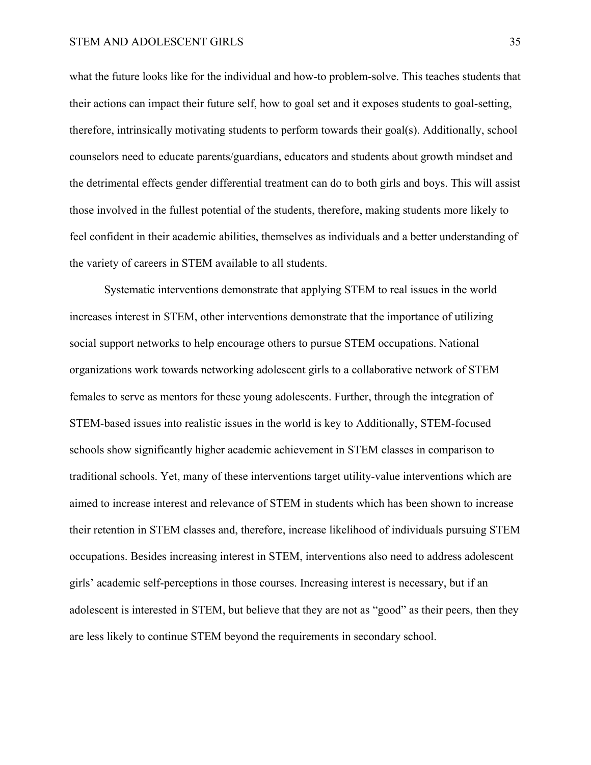#### STEM AND ADOLESCENT GIRLS 35

what the future looks like for the individual and how-to problem-solve. This teaches students that their actions can impact their future self, how to goal set and it exposes students to goal-setting, therefore, intrinsically motivating students to perform towards their goal(s). Additionally, school counselors need to educate parents/guardians, educators and students about growth mindset and the detrimental effects gender differential treatment can do to both girls and boys. This will assist those involved in the fullest potential of the students, therefore, making students more likely to feel confident in their academic abilities, themselves as individuals and a better understanding of the variety of careers in STEM available to all students.

Systematic interventions demonstrate that applying STEM to real issues in the world increases interest in STEM, other interventions demonstrate that the importance of utilizing social support networks to help encourage others to pursue STEM occupations. National organizations work towards networking adolescent girls to a collaborative network of STEM females to serve as mentors for these young adolescents. Further, through the integration of STEM-based issues into realistic issues in the world is key to Additionally, STEM-focused schools show significantly higher academic achievement in STEM classes in comparison to traditional schools. Yet, many of these interventions target utility-value interventions which are aimed to increase interest and relevance of STEM in students which has been shown to increase their retention in STEM classes and, therefore, increase likelihood of individuals pursuing STEM occupations. Besides increasing interest in STEM, interventions also need to address adolescent girls' academic self-perceptions in those courses. Increasing interest is necessary, but if an adolescent is interested in STEM, but believe that they are not as "good" as their peers, then they are less likely to continue STEM beyond the requirements in secondary school.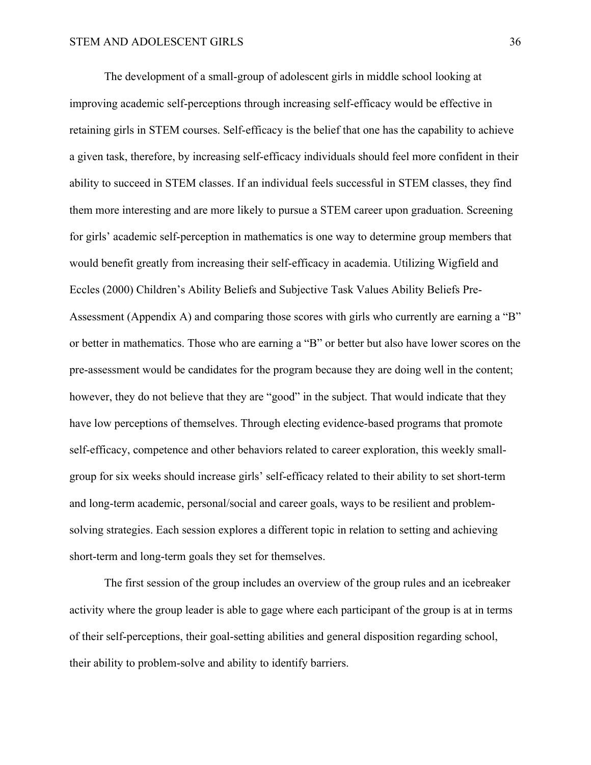The development of a small-group of adolescent girls in middle school looking at improving academic self-perceptions through increasing self-efficacy would be effective in retaining girls in STEM courses. Self-efficacy is the belief that one has the capability to achieve a given task, therefore, by increasing self-efficacy individuals should feel more confident in their ability to succeed in STEM classes. If an individual feels successful in STEM classes, they find them more interesting and are more likely to pursue a STEM career upon graduation. Screening for girls' academic self-perception in mathematics is one way to determine group members that would benefit greatly from increasing their self-efficacy in academia. Utilizing Wigfield and Eccles (2000) Children's Ability Beliefs and Subjective Task Values Ability Beliefs Pre-Assessment (Appendix A) and comparing those scores with girls who currently are earning a "B" or better in mathematics. Those who are earning a "B" or better but also have lower scores on the pre-assessment would be candidates for the program because they are doing well in the content; however, they do not believe that they are "good" in the subject. That would indicate that they have low perceptions of themselves. Through electing evidence-based programs that promote self-efficacy, competence and other behaviors related to career exploration, this weekly smallgroup for six weeks should increase girls' self-efficacy related to their ability to set short-term and long-term academic, personal/social and career goals, ways to be resilient and problemsolving strategies. Each session explores a different topic in relation to setting and achieving short-term and long-term goals they set for themselves.

The first session of the group includes an overview of the group rules and an icebreaker activity where the group leader is able to gage where each participant of the group is at in terms of their self-perceptions, their goal-setting abilities and general disposition regarding school, their ability to problem-solve and ability to identify barriers.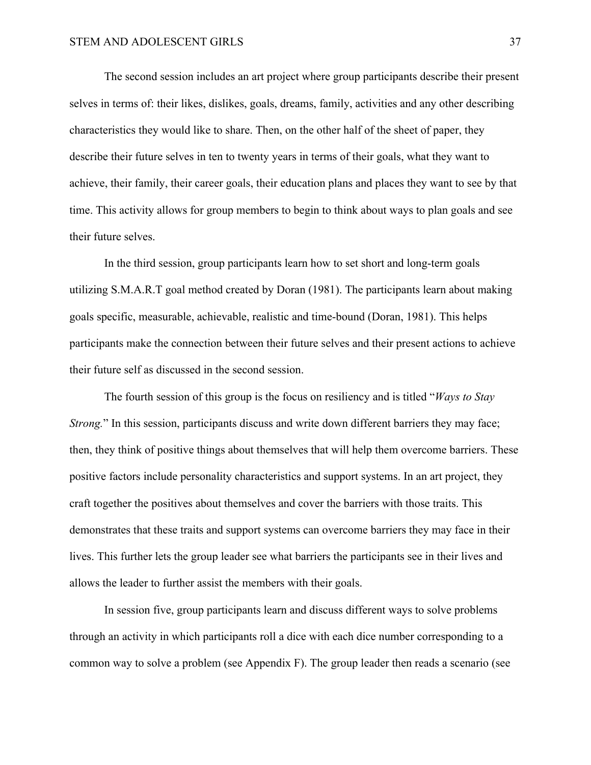The second session includes an art project where group participants describe their present selves in terms of: their likes, dislikes, goals, dreams, family, activities and any other describing characteristics they would like to share. Then, on the other half of the sheet of paper, they describe their future selves in ten to twenty years in terms of their goals, what they want to achieve, their family, their career goals, their education plans and places they want to see by that time. This activity allows for group members to begin to think about ways to plan goals and see their future selves.

In the third session, group participants learn how to set short and long-term goals utilizing S.M.A.R.T goal method created by Doran (1981). The participants learn about making goals specific, measurable, achievable, realistic and time-bound (Doran, 1981). This helps participants make the connection between their future selves and their present actions to achieve their future self as discussed in the second session.

The fourth session of this group is the focus on resiliency and is titled "*Ways to Stay Strong.*" In this session, participants discuss and write down different barriers they may face; then, they think of positive things about themselves that will help them overcome barriers. These positive factors include personality characteristics and support systems. In an art project, they craft together the positives about themselves and cover the barriers with those traits. This demonstrates that these traits and support systems can overcome barriers they may face in their lives. This further lets the group leader see what barriers the participants see in their lives and allows the leader to further assist the members with their goals.

In session five, group participants learn and discuss different ways to solve problems through an activity in which participants roll a dice with each dice number corresponding to a common way to solve a problem (see Appendix F). The group leader then reads a scenario (see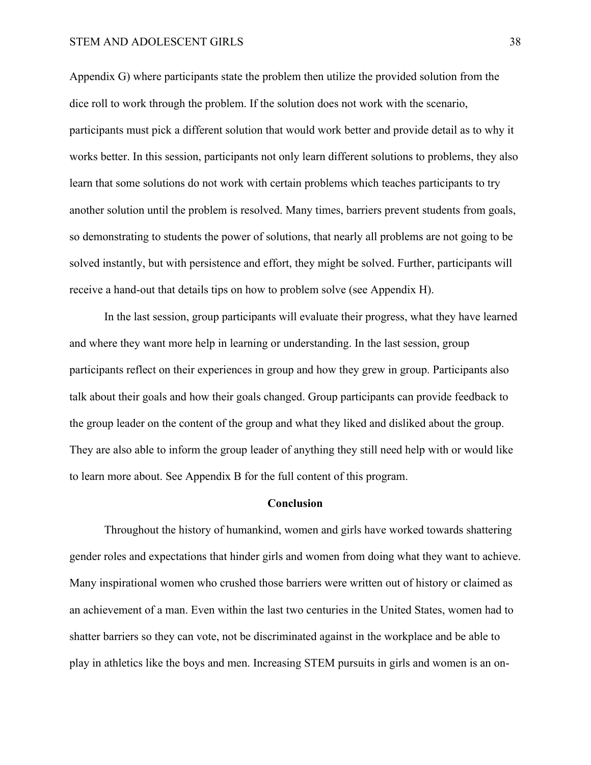#### STEM AND ADOLESCENT GIRLS 38

Appendix G) where participants state the problem then utilize the provided solution from the dice roll to work through the problem. If the solution does not work with the scenario, participants must pick a different solution that would work better and provide detail as to why it works better. In this session, participants not only learn different solutions to problems, they also learn that some solutions do not work with certain problems which teaches participants to try another solution until the problem is resolved. Many times, barriers prevent students from goals, so demonstrating to students the power of solutions, that nearly all problems are not going to be solved instantly, but with persistence and effort, they might be solved. Further, participants will receive a hand-out that details tips on how to problem solve (see Appendix H).

In the last session, group participants will evaluate their progress, what they have learned and where they want more help in learning or understanding. In the last session, group participants reflect on their experiences in group and how they grew in group. Participants also talk about their goals and how their goals changed. Group participants can provide feedback to the group leader on the content of the group and what they liked and disliked about the group. They are also able to inform the group leader of anything they still need help with or would like to learn more about. See Appendix B for the full content of this program.

#### **Conclusion**

Throughout the history of humankind, women and girls have worked towards shattering gender roles and expectations that hinder girls and women from doing what they want to achieve. Many inspirational women who crushed those barriers were written out of history or claimed as an achievement of a man. Even within the last two centuries in the United States, women had to shatter barriers so they can vote, not be discriminated against in the workplace and be able to play in athletics like the boys and men. Increasing STEM pursuits in girls and women is an on-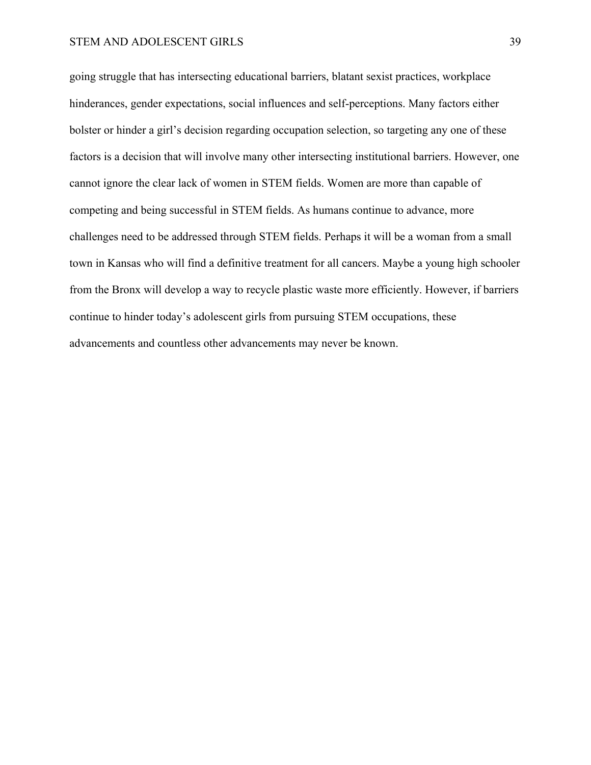#### STEM AND ADOLESCENT GIRLS 39

going struggle that has intersecting educational barriers, blatant sexist practices, workplace hinderances, gender expectations, social influences and self-perceptions. Many factors either bolster or hinder a girl's decision regarding occupation selection, so targeting any one of these factors is a decision that will involve many other intersecting institutional barriers. However, one cannot ignore the clear lack of women in STEM fields. Women are more than capable of competing and being successful in STEM fields. As humans continue to advance, more challenges need to be addressed through STEM fields. Perhaps it will be a woman from a small town in Kansas who will find a definitive treatment for all cancers. Maybe a young high schooler from the Bronx will develop a way to recycle plastic waste more efficiently. However, if barriers continue to hinder today's adolescent girls from pursuing STEM occupations, these advancements and countless other advancements may never be known.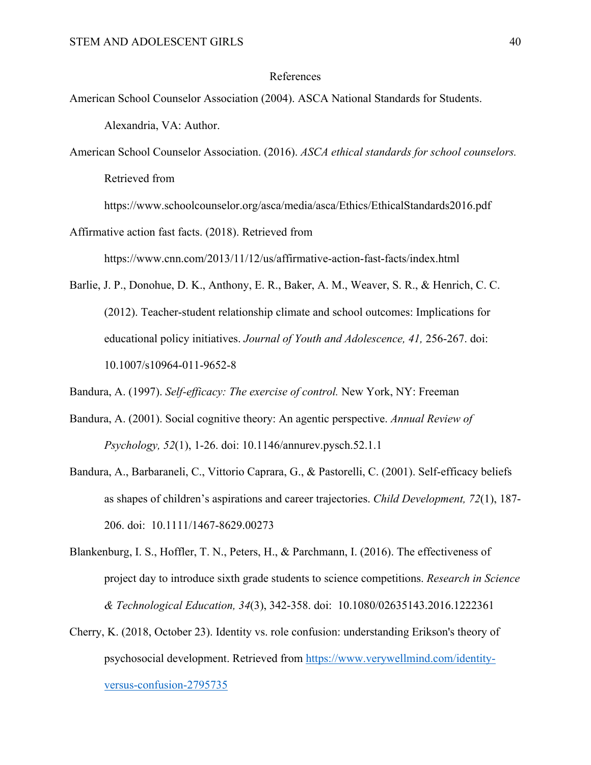#### References

- American School Counselor Association (2004). ASCA National Standards for Students. Alexandria, VA: Author.
- American School Counselor Association. (2016). *ASCA ethical standards for school counselors.*  Retrieved from

https://www.schoolcounselor.org/asca/media/asca/Ethics/EthicalStandards2016.pdf

Affirmative action fast facts. (2018). Retrieved from

https://www.cnn.com/2013/11/12/us/affirmative-action-fast-facts/index.html

Barlie, J. P., Donohue, D. K., Anthony, E. R., Baker, A. M., Weaver, S. R., & Henrich, C. C. (2012). Teacher-student relationship climate and school outcomes: Implications for educational policy initiatives. *Journal of Youth and Adolescence, 41,* 256-267. doi: 10.1007/s10964-011-9652-8

Bandura, A. (1997). *Self-efficacy: The exercise of control.* New York, NY: Freeman

- Bandura, A. (2001). Social cognitive theory: An agentic perspective. *Annual Review of Psychology, 52*(1), 1-26. doi: 10.1146/annurev.pysch.52.1.1
- Bandura, A., Barbaraneli, C., Vittorio Caprara, G., & Pastorelli, C. (2001). Self-efficacy beliefs as shapes of children's aspirations and career trajectories. *Child Development, 72*(1), 187- 206. doi: 10.1111/1467-8629.00273
- Blankenburg, I. S., Hoffler, T. N., Peters, H., & Parchmann, I. (2016). The effectiveness of project day to introduce sixth grade students to science competitions. *Research in Science & Technological Education, 34*(3), 342-358. doi: 10.1080/02635143.2016.1222361
- Cherry, K. (2018, October 23). Identity vs. role confusion: understanding Erikson's theory of psychosocial development. Retrieved from https://www.verywellmind.com/identityversus-confusion-2795735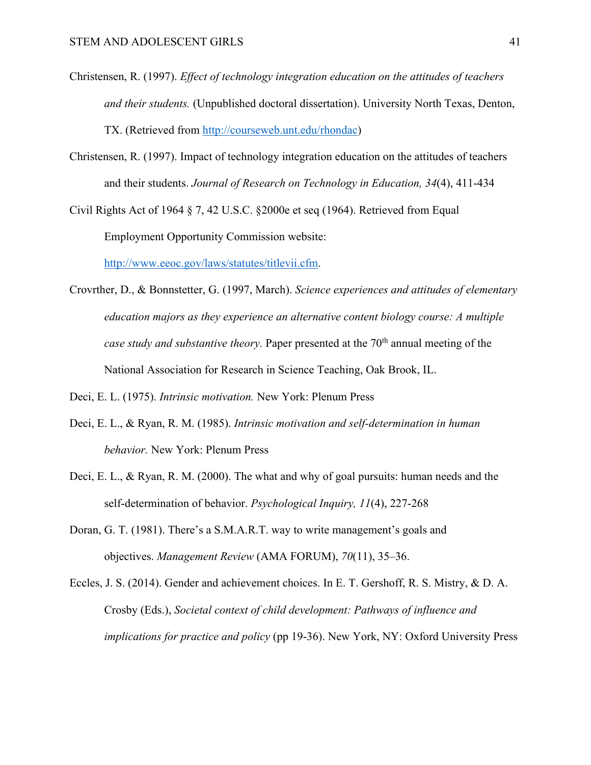- Christensen, R. (1997). *Effect of technology integration education on the attitudes of teachers and their students.* (Unpublished doctoral dissertation). University North Texas, Denton, TX. (Retrieved from http://courseweb.unt.edu/rhondac)
- Christensen, R. (1997). Impact of technology integration education on the attitudes of teachers and their students. *Journal of Research on Technology in Education, 34*(4), 411-434

Civil Rights Act of 1964  $\S$  7, 42 U.S.C.  $\S$  2000e et seq (1964). Retrieved from Equal Employment Opportunity Commission website: http://www.eeoc.gov/laws/statutes/titlevii.cfm.

Crovrther, D., & Bonnstetter, G. (1997, March). *Science experiences and attitudes of elementary education majors as they experience an alternative content biology course: A multiple case study and substantive theory.* Paper presented at the 70<sup>th</sup> annual meeting of the National Association for Research in Science Teaching, Oak Brook, IL.

Deci, E. L. (1975). *Intrinsic motivation.* New York: Plenum Press

- Deci, E. L., & Ryan, R. M. (1985). *Intrinsic motivation and self-determination in human behavior.* New York: Plenum Press
- Deci, E. L., & Ryan, R. M. (2000). The what and why of goal pursuits: human needs and the self-determination of behavior. *Psychological Inquiry, 11*(4), 227-268
- Doran, G. T. (1981). There's a S.M.A.R.T. way to write management's goals and objectives. *Management Review* (AMA FORUM), *70*(11), 35–36.

Eccles, J. S. (2014). Gender and achievement choices. In E. T. Gershoff, R. S. Mistry, & D. A. Crosby (Eds.), *Societal context of child development: Pathways of influence and implications for practice and policy* (pp 19-36). New York, NY: Oxford University Press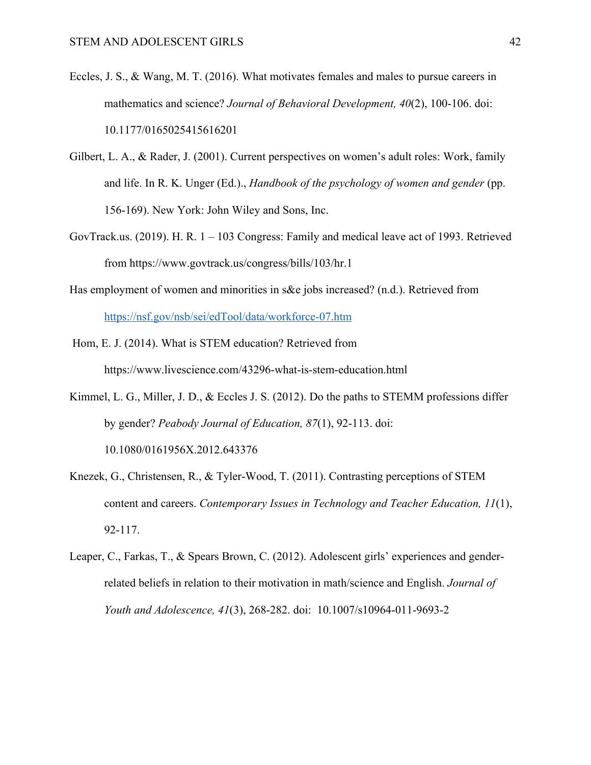- Eccles, J. S., & Wang, M. T. (2016). What motivates females and males to pursue careers in mathematics and science? *Journal of Behavioral Development, 40*(2), 100-106. doi: 10.1177/0165025415616201
- Gilbert, L. A., & Rader, J. (2001). Current perspectives on women's adult roles: Work, family and life. In R. K. Unger (Ed.)., *Handbook of the psychology of women and gender* (pp. 156-169). New York: John Wiley and Sons, Inc.
- GovTrack.us. (2019). H. R. 1 103 Congress: Family and medical leave act of 1993. Retrieved from https://www.govtrack.us/congress/bills/103/hr.1
- Has employment of women and minorities in s&e jobs increased? (n.d.). Retrieved from https://nsf.gov/nsb/sei/edTool/data/workforce-07.htm
- Hom, E. J. (2014). What is STEM education? Retrieved from https://www.livescience.com/43296-what-is-stem-education.html
- Kimmel, L. G., Miller, J. D., & Eccles J. S. (2012). Do the paths to STEMM professions differ by gender? *Peabody Journal of Education, 87*(1), 92-113. doi: 10.1080/0161956X.2012.643376
- Knezek, G., Christensen, R., & Tyler-Wood, T. (2011). Contrasting perceptions of STEM content and careers. *Contemporary Issues in Technology and Teacher Education, 11*(1), 92-117.
- Leaper, C., Farkas, T., & Spears Brown, C. (2012). Adolescent girls' experiences and genderrelated beliefs in relation to their motivation in math/science and English. *Journal of Youth and Adolescence, 41*(3), 268-282. doi: 10.1007/s10964-011-9693-2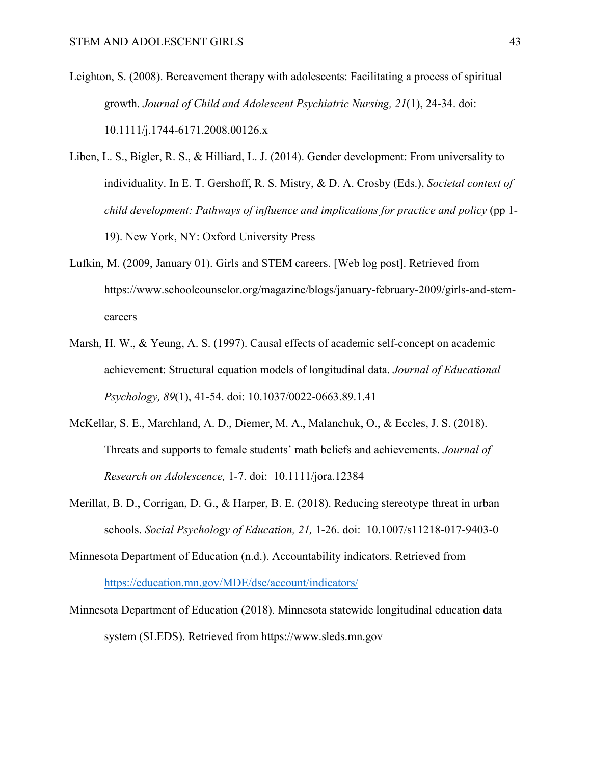- Leighton, S. (2008). Bereavement therapy with adolescents: Facilitating a process of spiritual growth. *Journal of Child and Adolescent Psychiatric Nursing, 21*(1), 24-34. doi: 10.1111/j.1744-6171.2008.00126.x
- Liben, L. S., Bigler, R. S., & Hilliard, L. J. (2014). Gender development: From universality to individuality. In E. T. Gershoff, R. S. Mistry, & D. A. Crosby (Eds.), *Societal context of child development: Pathways of influence and implications for practice and policy* (pp 1-19). New York, NY: Oxford University Press
- Lufkin, M. (2009, January 01). Girls and STEM careers. [Web log post]. Retrieved from https://www.schoolcounselor.org/magazine/blogs/january-february-2009/girls-and-stemcareers
- Marsh, H. W., & Yeung, A. S. (1997). Causal effects of academic self-concept on academic achievement: Structural equation models of longitudinal data. *Journal of Educational Psychology, 89*(1), 41-54. doi: 10.1037/0022-0663.89.1.41
- McKellar, S. E., Marchland, A. D., Diemer, M. A., Malanchuk, O., & Eccles, J. S. (2018). Threats and supports to female students' math beliefs and achievements. *Journal of Research on Adolescence,* 1-7. doi: 10.1111/jora.12384
- Merillat, B. D., Corrigan, D. G., & Harper, B. E. (2018). Reducing stereotype threat in urban schools. *Social Psychology of Education, 21,* 1-26. doi: 10.1007/s11218-017-9403-0
- Minnesota Department of Education (n.d.). Accountability indicators. Retrieved from https://education.mn.gov/MDE/dse/account/indicators/
- Minnesota Department of Education (2018). Minnesota statewide longitudinal education data system (SLEDS). Retrieved from https://www.sleds.mn.gov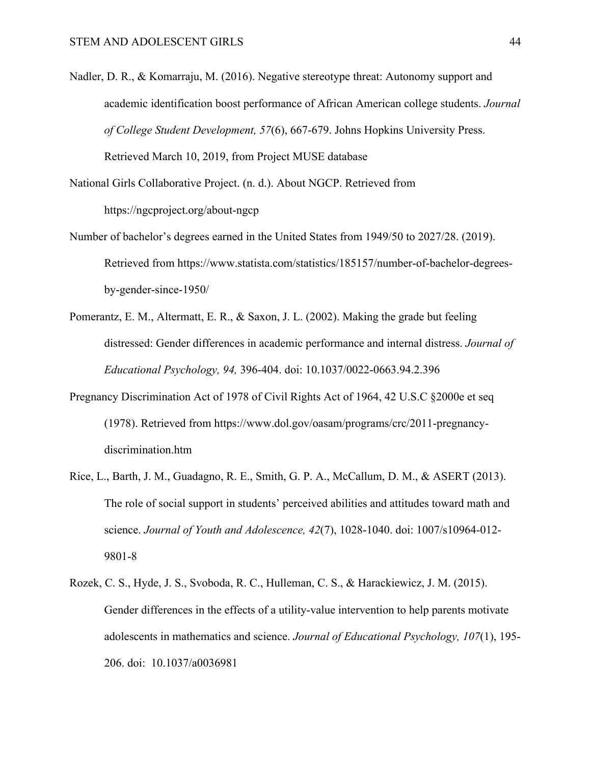- Nadler, D. R., & Komarraju, M. (2016). Negative stereotype threat: Autonomy support and academic identification boost performance of African American college students. *Journal of College Student Development, 57*(6), 667-679. Johns Hopkins University Press. Retrieved March 10, 2019, from Project MUSE database
- National Girls Collaborative Project. (n. d.). About NGCP. Retrieved from https://ngcproject.org/about-ngcp
- Number of bachelor's degrees earned in the United States from 1949/50 to 2027/28. (2019). Retrieved from https://www.statista.com/statistics/185157/number-of-bachelor-degreesby-gender-since-1950/
- Pomerantz, E. M., Altermatt, E. R., & Saxon, J. L. (2002). Making the grade but feeling distressed: Gender differences in academic performance and internal distress. *Journal of Educational Psychology, 94,* 396-404. doi: 10.1037/0022-0663.94.2.396
- Pregnancy Discrimination Act of 1978 of Civil Rights Act of 1964, 42 U.S.C §2000e et seq (1978). Retrieved from https://www.dol.gov/oasam/programs/crc/2011-pregnancydiscrimination.htm
- Rice, L., Barth, J. M., Guadagno, R. E., Smith, G. P. A., McCallum, D. M., & ASERT (2013). The role of social support in students' perceived abilities and attitudes toward math and science. *Journal of Youth and Adolescence, 42*(7), 1028-1040. doi: 1007/s10964-012- 9801-8
- Rozek, C. S., Hyde, J. S., Svoboda, R. C., Hulleman, C. S., & Harackiewicz, J. M. (2015). Gender differences in the effects of a utility-value intervention to help parents motivate adolescents in mathematics and science. *Journal of Educational Psychology, 107*(1), 195- 206. doi: 10.1037/a0036981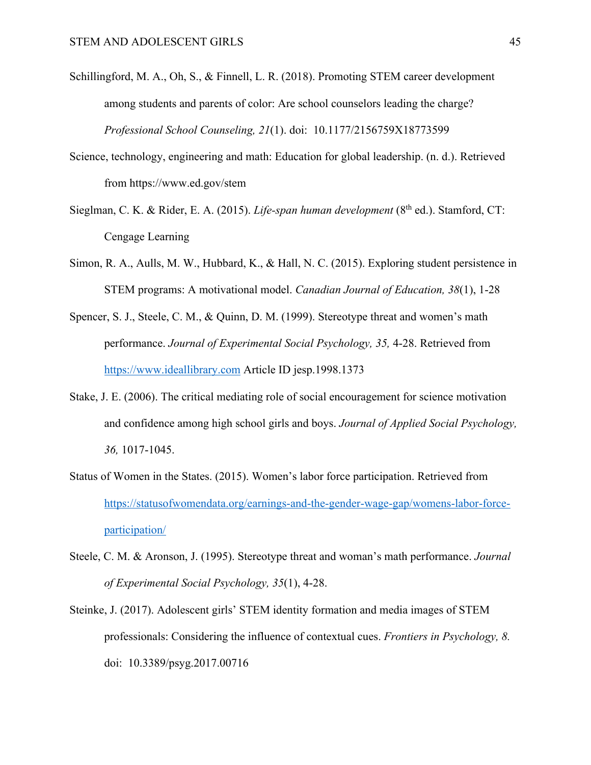- Schillingford, M. A., Oh, S., & Finnell, L. R. (2018). Promoting STEM career development among students and parents of color: Are school counselors leading the charge? *Professional School Counseling, 21*(1). doi: 10.1177/2156759X18773599
- Science, technology, engineering and math: Education for global leadership. (n. d.). Retrieved from https://www.ed.gov/stem
- Sieglman, C. K. & Rider, E. A. (2015). *Life-span human development* (8<sup>th</sup> ed.). Stamford, CT: Cengage Learning
- Simon, R. A., Aulls, M. W., Hubbard, K., & Hall, N. C. (2015). Exploring student persistence in STEM programs: A motivational model. *Canadian Journal of Education, 38*(1), 1-28
- Spencer, S. J., Steele, C. M., & Quinn, D. M. (1999). Stereotype threat and women's math performance. *Journal of Experimental Social Psychology, 35,* 4-28. Retrieved from https://www.ideallibrary.com Article ID jesp.1998.1373
- Stake, J. E. (2006). The critical mediating role of social encouragement for science motivation and confidence among high school girls and boys. *Journal of Applied Social Psychology, 36,* 1017-1045.
- Status of Women in the States. (2015). Women's labor force participation. Retrieved from https://statusofwomendata.org/earnings-and-the-gender-wage-gap/womens-labor-forceparticipation/
- Steele, C. M. & Aronson, J. (1995). Stereotype threat and woman's math performance. *Journal of Experimental Social Psychology, 35*(1), 4-28.
- Steinke, J. (2017). Adolescent girls' STEM identity formation and media images of STEM professionals: Considering the influence of contextual cues. *Frontiers in Psychology, 8.*  doi: 10.3389/psyg.2017.00716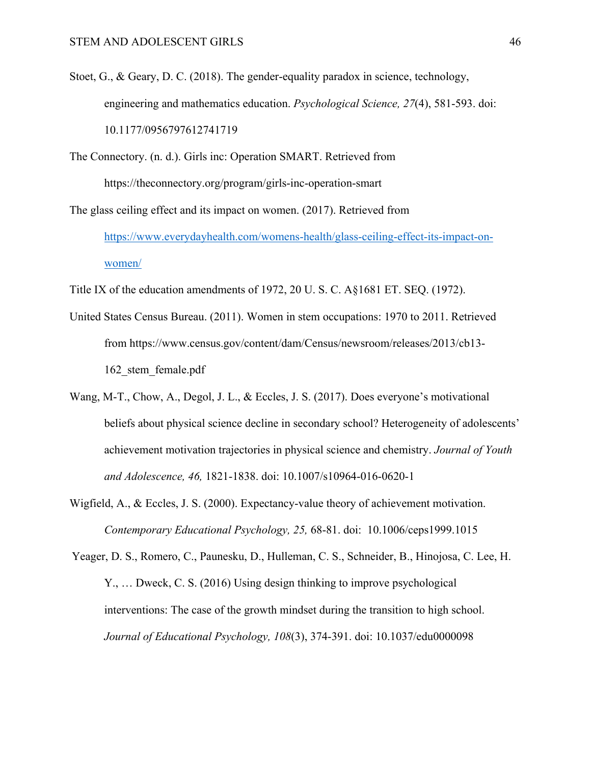- Stoet, G., & Geary, D. C. (2018). The gender-equality paradox in science, technology, engineering and mathematics education. *Psychological Science, 27*(4), 581-593. doi: 10.1177/0956797612741719
- The Connectory. (n. d.). Girls inc: Operation SMART. Retrieved from https://theconnectory.org/program/girls-inc-operation-smart

The glass ceiling effect and its impact on women. (2017). Retrieved from

https://www.everydayhealth.com/womens-health/glass-ceiling-effect-its-impact-onwomen/

- Title IX of the education amendments of 1972, 20 U. S. C. A§1681 ET. SEQ. (1972).
- United States Census Bureau. (2011). Women in stem occupations: 1970 to 2011. Retrieved from https://www.census.gov/content/dam/Census/newsroom/releases/2013/cb13- 162\_stem\_female.pdf
- Wang, M-T., Chow, A., Degol, J. L., & Eccles, J. S. (2017). Does everyone's motivational beliefs about physical science decline in secondary school? Heterogeneity of adolescents' achievement motivation trajectories in physical science and chemistry. *Journal of Youth and Adolescence, 46,* 1821-1838. doi: 10.1007/s10964-016-0620-1
- Wigfield, A., & Eccles, J. S. (2000). Expectancy-value theory of achievement motivation. *Contemporary Educational Psychology, 25,* 68-81. doi: 10.1006/ceps1999.1015

Yeager, D. S., Romero, C., Paunesku, D., Hulleman, C. S., Schneider, B., Hinojosa, C. Lee, H. Y., … Dweck, C. S. (2016) Using design thinking to improve psychological interventions: The case of the growth mindset during the transition to high school. *Journal of Educational Psychology, 108*(3), 374-391. doi: 10.1037/edu0000098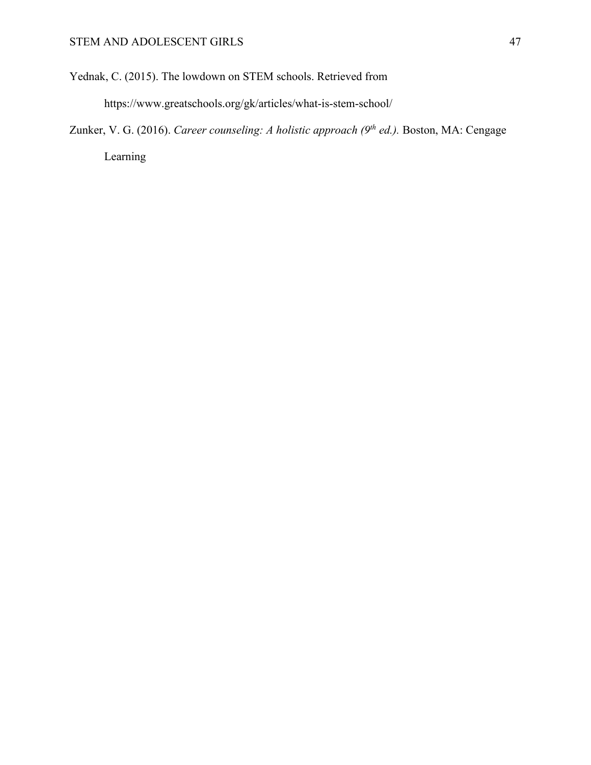Yednak, C. (2015). The lowdown on STEM schools. Retrieved from

https://www.greatschools.org/gk/articles/what-is-stem-school/

Zunker, V. G. (2016). *Career counseling: A holistic approach (9th ed.).* Boston, MA: Cengage Learning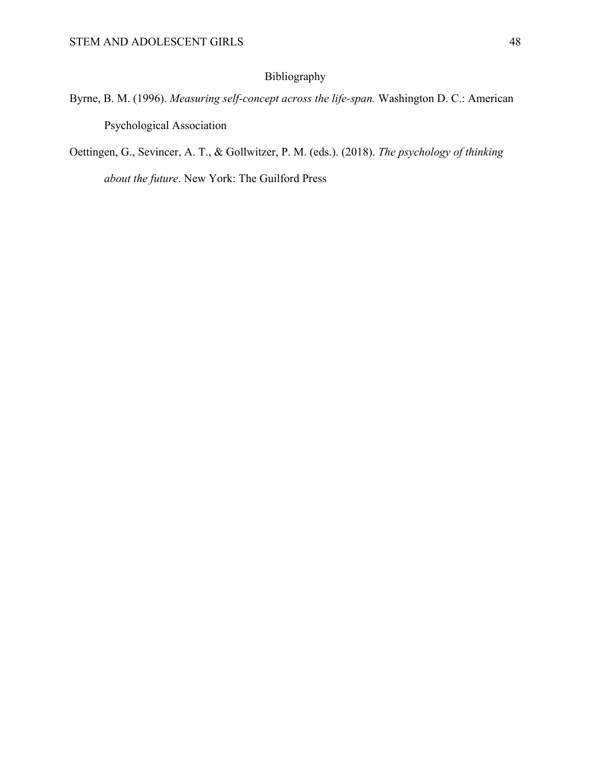# Bibliography

- Byrne, B. M. (1996). *Measuring self-concept across the life-span.* Washington D. C.: American Psychological Association
- Oettingen, G., Sevincer, A. T., & Gollwitzer, P. M. (eds.). (2018). *The psychology of thinking*

*about the future*. New York: The Guilford Press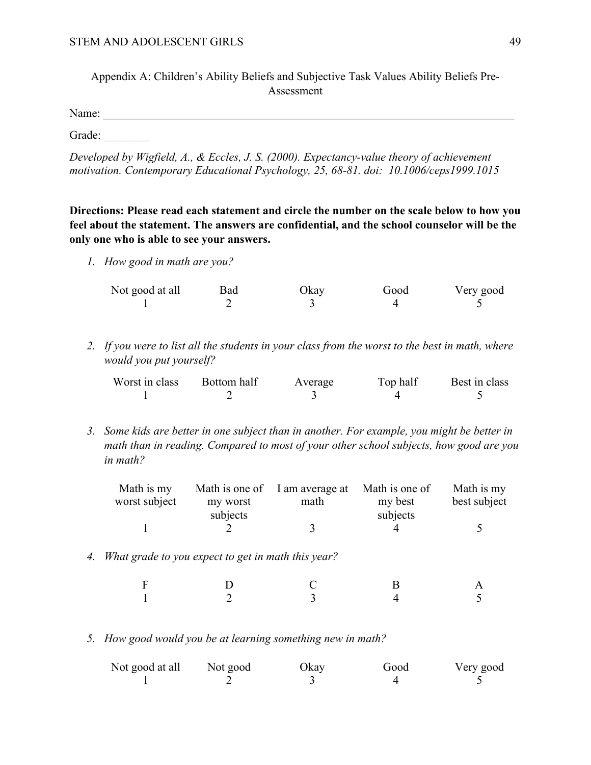Appendix A: Children's Ability Beliefs and Subjective Task Values Ability Beliefs Pre-Assessment

Name: \_\_\_\_\_\_\_\_\_\_\_\_\_\_\_\_\_\_\_\_\_\_\_\_\_\_\_\_\_\_\_\_\_\_\_\_\_\_\_\_\_\_\_\_\_\_\_\_\_\_\_\_\_\_\_\_\_\_\_\_\_\_\_\_\_\_\_\_\_\_\_

Grade:

*Developed by Wigfield, A., & Eccles, J. S. (2000). Expectancy-value theory of achievement motivation. Contemporary Educational Psychology, 25, 68-81. doi: 10.1006/ceps1999.1015*

**Directions: Please read each statement and circle the number on the scale below to how you feel about the statement. The answers are confidential, and the school counselor will be the only one who is able to see your answers.**

*1. How good in math are you?*

| Not good at all | <b>Bad</b> | Okay | Good | Very good |
|-----------------|------------|------|------|-----------|
|                 |            |      |      |           |

*2. If you were to list all the students in your class from the worst to the best in math, where would you put yourself?* 

| Worst in class | Bottom half | Average | Top half | Best in class |
|----------------|-------------|---------|----------|---------------|
|                |             |         |          |               |

*3. Some kids are better in one subject than in another. For example, you might be better in math than in reading. Compared to most of your other school subjects, how good are you in math?* 

| Math is my<br>worst subject | my worst | Math is one of I am average at Math is one of<br>math | my best  | Math is my<br>best subject |
|-----------------------------|----------|-------------------------------------------------------|----------|----------------------------|
|                             | subjects |                                                       | subjects |                            |

*4. What grade to you expect to get in math this year?*

| $\mathbf{F}$        | $\Box$<br>— |                      | $\mathbf{A}$   |
|---------------------|-------------|----------------------|----------------|
| $\sim$ 1.100 $\sim$ |             | $\ddot{\phantom{1}}$ | $\overline{5}$ |

*5. How good would you be at learning something new in math?* 

| Not good at all | Not good | Okay | Good | Very good |
|-----------------|----------|------|------|-----------|
|                 |          |      |      |           |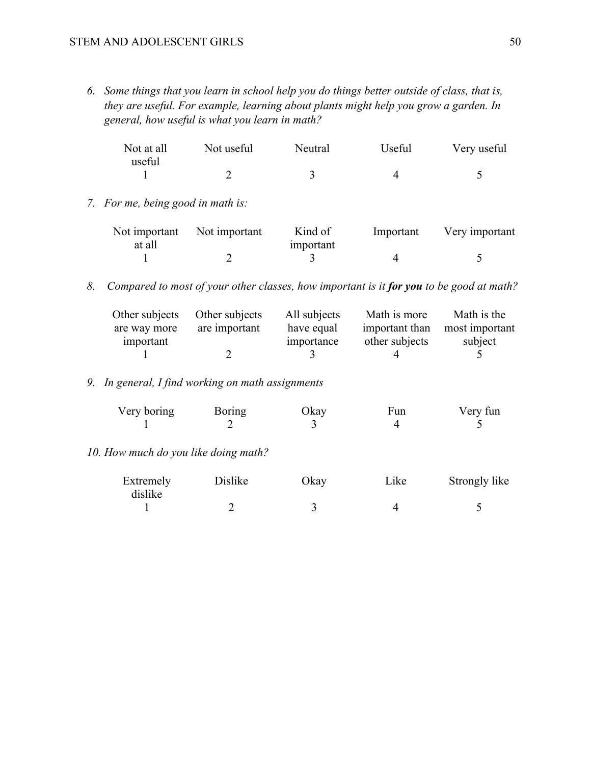#### STEM AND ADOLESCENT GIRLS 50

*6. Some things that you learn in school help you do things better outside of class, that is, they are useful. For example, learning about plants might help you grow a garden. In general, how useful is what you learn in math?* 

| Not at all | Not useful | Neutral | Useful | Very useful |
|------------|------------|---------|--------|-------------|
| useful     |            |         |        |             |
|            |            |         |        |             |

*7. For me, being good in math is:*

|        | Not important Not important | Kind of   | Important | Very important |
|--------|-----------------------------|-----------|-----------|----------------|
| at all |                             | important |           |                |
|        |                             |           |           |                |

*8. Compared to most of your other classes, how important is it for you to be good at math?* 

|              | Other subjects Other subjects | All subjects | Math is more   | Math is the                   |
|--------------|-------------------------------|--------------|----------------|-------------------------------|
| are way more | are important                 | have equal   |                | important than most important |
| important    |                               | importance   | other subjects | subject                       |
|              |                               |              |                |                               |

# *9. In general, I find working on math assignments*

| Very boring | Boring | Okay | Fun | Very fun |
|-------------|--------|------|-----|----------|
|             |        |      |     |          |

*10. How much do you like doing math?* 

| Extremely | Dislike | Okay | Like | Strongly like |
|-----------|---------|------|------|---------------|
| dislike   |         |      |      |               |
|           |         |      |      |               |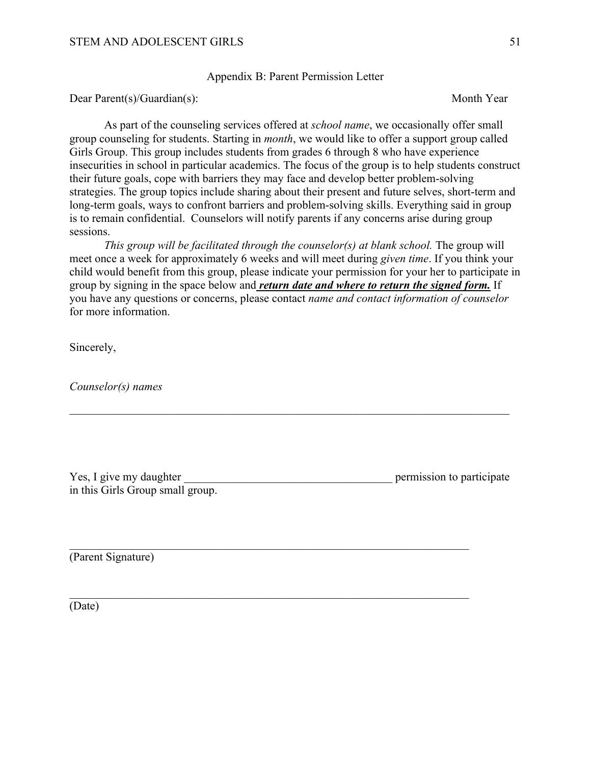Appendix B: Parent Permission Letter

Dear Parent(s)/Guardian(s): Month Year

As part of the counseling services offered at *school name*, we occasionally offer small group counseling for students. Starting in *month*, we would like to offer a support group called Girls Group. This group includes students from grades 6 through 8 who have experience insecurities in school in particular academics. The focus of the group is to help students construct their future goals, cope with barriers they may face and develop better problem-solving strategies. The group topics include sharing about their present and future selves, short-term and long-term goals, ways to confront barriers and problem-solving skills. Everything said in group is to remain confidential. Counselors will notify parents if any concerns arise during group sessions.

*This group will be facilitated through the counselor(s) at blank school.* The group will meet once a week for approximately 6 weeks and will meet during *given time*. If you think your child would benefit from this group, please indicate your permission for your her to participate in group by signing in the space below and *return date and where to return the signed form.* If you have any questions or concerns, please contact *name and contact information of counselor*  for more information.

Sincerely,

*Counselor(s) names*

| Yes, I give my daughter          | permission to participate |
|----------------------------------|---------------------------|
| in this Girls Group small group. |                           |

(Parent Signature)

(Date)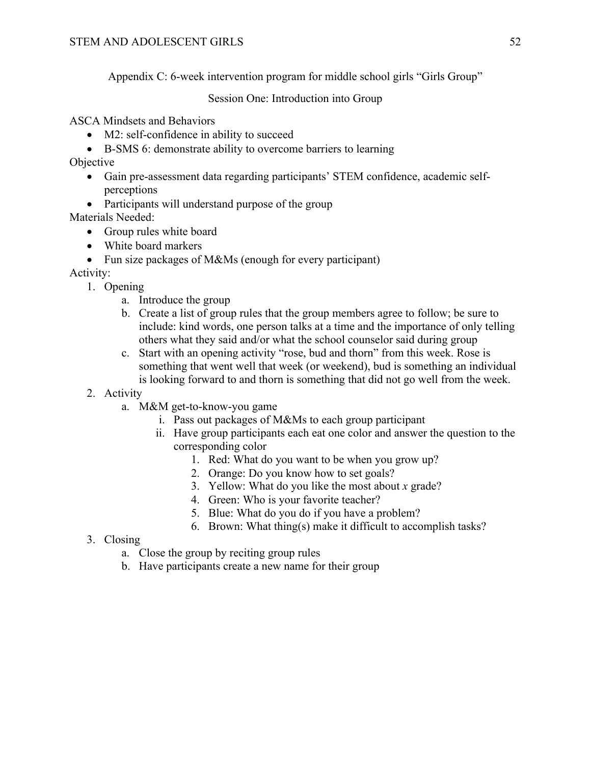Appendix C: 6-week intervention program for middle school girls "Girls Group"

Session One: Introduction into Group

ASCA Mindsets and Behaviors

- M2: self-confidence in ability to succeed
- B-SMS 6: demonstrate ability to overcome barriers to learning

Objective

- Gain pre-assessment data regarding participants' STEM confidence, academic selfperceptions
- Participants will understand purpose of the group

Materials Needed:

- Group rules white board
- White board markers
- Fun size packages of M&Ms (enough for every participant)

Activity:

- 1. Opening
	- a. Introduce the group
	- b. Create a list of group rules that the group members agree to follow; be sure to include: kind words, one person talks at a time and the importance of only telling others what they said and/or what the school counselor said during group
	- c. Start with an opening activity "rose, bud and thorn" from this week. Rose is something that went well that week (or weekend), bud is something an individual is looking forward to and thorn is something that did not go well from the week.

2. Activity

- a. M&M get-to-know-you game
	- i. Pass out packages of M&Ms to each group participant
	- ii. Have group participants each eat one color and answer the question to the corresponding color
		- 1. Red: What do you want to be when you grow up?
		- 2. Orange: Do you know how to set goals?
		- 3. Yellow: What do you like the most about *x* grade?
		- 4. Green: Who is your favorite teacher?
		- 5. Blue: What do you do if you have a problem?
		- 6. Brown: What thing(s) make it difficult to accomplish tasks?
- 3. Closing
	- a. Close the group by reciting group rules
	- b. Have participants create a new name for their group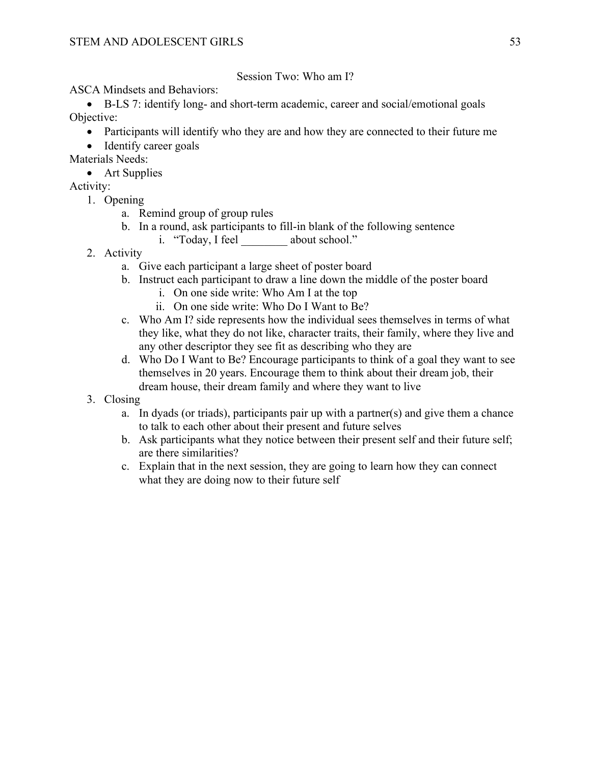## Session Two: Who am I?

ASCA Mindsets and Behaviors:

• B-LS 7: identify long- and short-term academic, career and social/emotional goals Objective:

- Participants will identify who they are and how they are connected to their future me
- Identify career goals

Materials Needs:

• Art Supplies

- 1. Opening
	- a. Remind group of group rules
	- b. In a round, ask participants to fill-in blank of the following sentence
		- i. "Today, I feel about school."
- 2. Activity
	- a. Give each participant a large sheet of poster board
	- b. Instruct each participant to draw a line down the middle of the poster board
		- i. On one side write: Who Am I at the top
		- ii. On one side write: Who Do I Want to Be?
	- c. Who Am I? side represents how the individual sees themselves in terms of what they like, what they do not like, character traits, their family, where they live and any other descriptor they see fit as describing who they are
	- d. Who Do I Want to Be? Encourage participants to think of a goal they want to see themselves in 20 years. Encourage them to think about their dream job, their dream house, their dream family and where they want to live
- 3. Closing
	- a. In dyads (or triads), participants pair up with a partner(s) and give them a chance to talk to each other about their present and future selves
	- b. Ask participants what they notice between their present self and their future self; are there similarities?
	- c. Explain that in the next session, they are going to learn how they can connect what they are doing now to their future self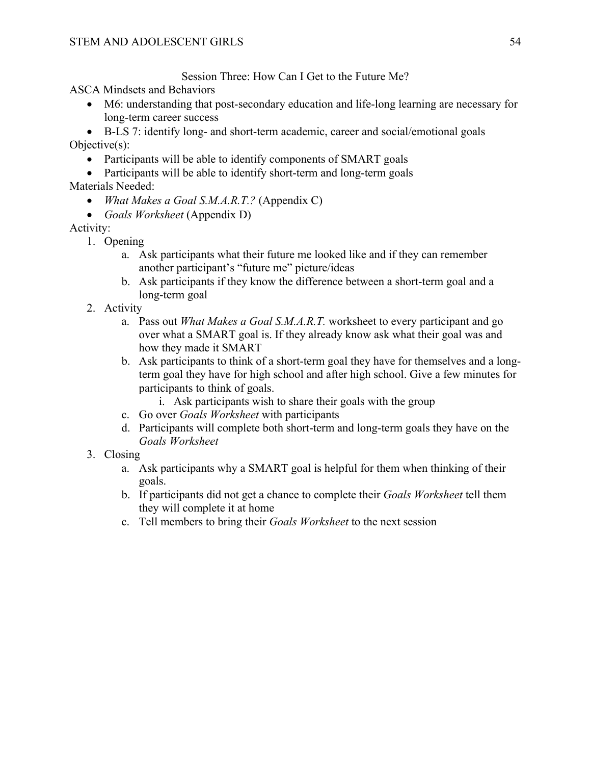Session Three: How Can I Get to the Future Me?

ASCA Mindsets and Behaviors

• M6: understanding that post-secondary education and life-long learning are necessary for long-term career success

• B-LS 7: identify long- and short-term academic, career and social/emotional goals Objective(s):

- Participants will be able to identify components of SMART goals
- Participants will be able to identify short-term and long-term goals

Materials Needed:

- *What Makes a Goal S.M.A.R.T.?* (Appendix C)
- *Goals Worksheet* (Appendix D)

- 1. Opening
	- a. Ask participants what their future me looked like and if they can remember another participant's "future me" picture/ideas
	- b. Ask participants if they know the difference between a short-term goal and a long-term goal
- 2. Activity
	- a. Pass out *What Makes a Goal S.M.A.R.T.* worksheet to every participant and go over what a SMART goal is. If they already know ask what their goal was and how they made it SMART
	- b. Ask participants to think of a short-term goal they have for themselves and a longterm goal they have for high school and after high school. Give a few minutes for participants to think of goals.
		- i. Ask participants wish to share their goals with the group
	- c. Go over *Goals Worksheet* with participants
	- d. Participants will complete both short-term and long-term goals they have on the *Goals Worksheet*
- 3. Closing
	- a. Ask participants why a SMART goal is helpful for them when thinking of their goals.
	- b. If participants did not get a chance to complete their *Goals Worksheet* tell them they will complete it at home
	- c. Tell members to bring their *Goals Worksheet* to the next session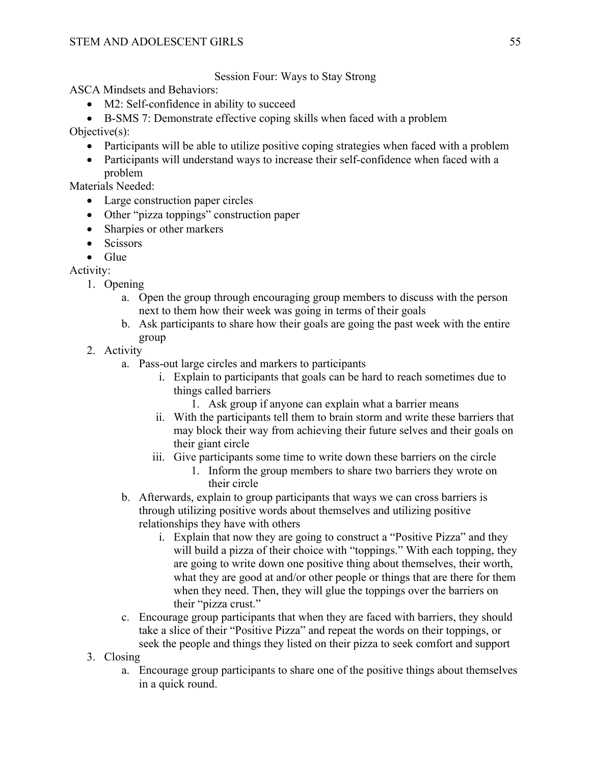Session Four: Ways to Stay Strong

ASCA Mindsets and Behaviors:

- M2: Self-confidence in ability to succeed
- B-SMS 7: Demonstrate effective coping skills when faced with a problem

Objective(s):

- Participants will be able to utilize positive coping strategies when faced with a problem
- Participants will understand ways to increase their self-confidence when faced with a problem

Materials Needed:

- Large construction paper circles
- Other "pizza toppings" construction paper
- Sharpies or other markers
- Scissors

• Glue

- 1. Opening
	- a. Open the group through encouraging group members to discuss with the person next to them how their week was going in terms of their goals
	- b. Ask participants to share how their goals are going the past week with the entire group
- 2. Activity
	- a. Pass-out large circles and markers to participants
		- i. Explain to participants that goals can be hard to reach sometimes due to things called barriers
			- 1. Ask group if anyone can explain what a barrier means
		- ii. With the participants tell them to brain storm and write these barriers that may block their way from achieving their future selves and their goals on their giant circle
		- iii. Give participants some time to write down these barriers on the circle
			- 1. Inform the group members to share two barriers they wrote on their circle
	- b. Afterwards, explain to group participants that ways we can cross barriers is through utilizing positive words about themselves and utilizing positive relationships they have with others
		- i. Explain that now they are going to construct a "Positive Pizza" and they will build a pizza of their choice with "toppings." With each topping, they are going to write down one positive thing about themselves, their worth, what they are good at and/or other people or things that are there for them when they need. Then, they will glue the toppings over the barriers on their "pizza crust."
	- c. Encourage group participants that when they are faced with barriers, they should take a slice of their "Positive Pizza" and repeat the words on their toppings, or seek the people and things they listed on their pizza to seek comfort and support
- 3. Closing
	- a. Encourage group participants to share one of the positive things about themselves in a quick round.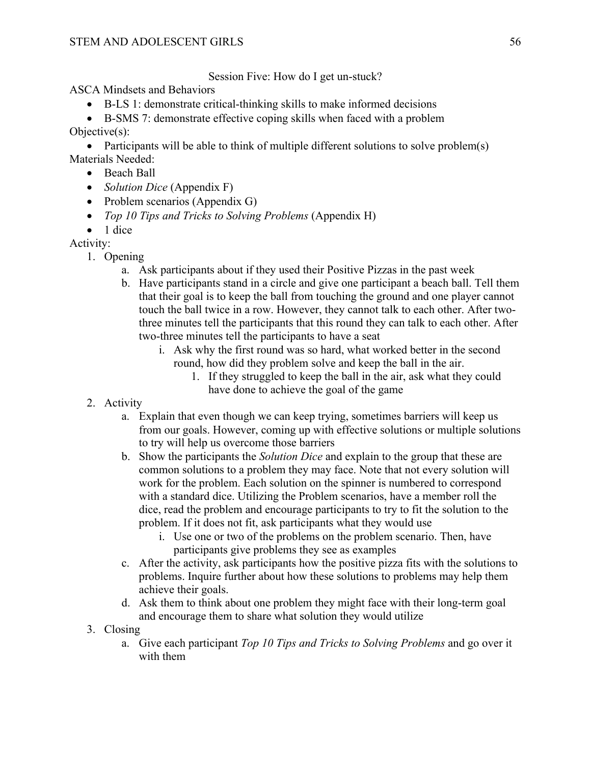Session Five: How do I get un-stuck?

ASCA Mindsets and Behaviors

- B-LS 1: demonstrate critical-thinking skills to make informed decisions
- B-SMS 7: demonstrate effective coping skills when faced with a problem

Objective(s):

• Participants will be able to think of multiple different solutions to solve problem(s) Materials Needed:

- Beach Ball
- *Solution Dice* (Appendix F)
- Problem scenarios (Appendix G)
- *Top 10 Tips and Tricks to Solving Problems (Appendix H)*
- 1 dice

- 1. Opening
	- a. Ask participants about if they used their Positive Pizzas in the past week
	- b. Have participants stand in a circle and give one participant a beach ball. Tell them that their goal is to keep the ball from touching the ground and one player cannot touch the ball twice in a row. However, they cannot talk to each other. After twothree minutes tell the participants that this round they can talk to each other. After two-three minutes tell the participants to have a seat
		- i. Ask why the first round was so hard, what worked better in the second round, how did they problem solve and keep the ball in the air.
			- 1. If they struggled to keep the ball in the air, ask what they could have done to achieve the goal of the game
- 2. Activity
	- a. Explain that even though we can keep trying, sometimes barriers will keep us from our goals. However, coming up with effective solutions or multiple solutions to try will help us overcome those barriers
	- b. Show the participants the *Solution Dice* and explain to the group that these are common solutions to a problem they may face. Note that not every solution will work for the problem. Each solution on the spinner is numbered to correspond with a standard dice. Utilizing the Problem scenarios, have a member roll the dice, read the problem and encourage participants to try to fit the solution to the problem. If it does not fit, ask participants what they would use
		- i. Use one or two of the problems on the problem scenario. Then, have participants give problems they see as examples
	- c. After the activity, ask participants how the positive pizza fits with the solutions to problems. Inquire further about how these solutions to problems may help them achieve their goals.
	- d. Ask them to think about one problem they might face with their long-term goal and encourage them to share what solution they would utilize
- 3. Closing
	- a. Give each participant *Top 10 Tips and Tricks to Solving Problems* and go over it with them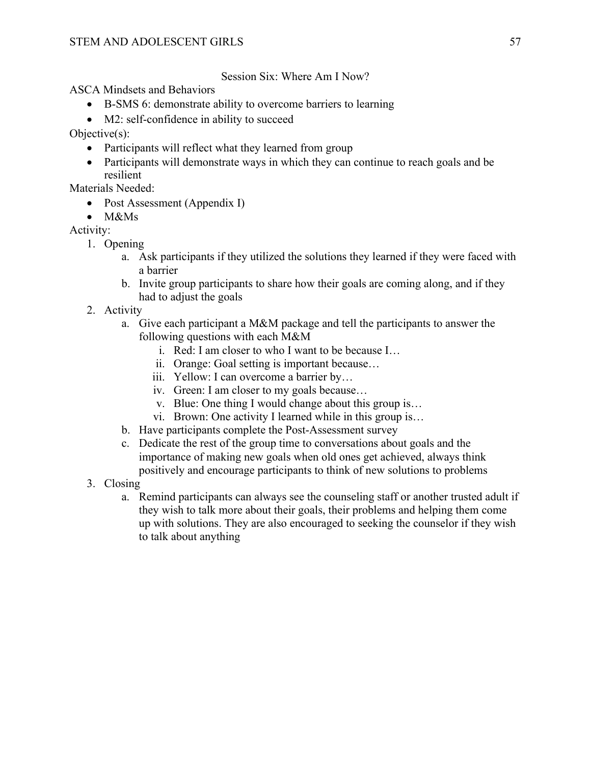Session Six: Where Am I Now?

ASCA Mindsets and Behaviors

- B-SMS 6: demonstrate ability to overcome barriers to learning
- M2: self-confidence in ability to succeed

Objective(s):

- Participants will reflect what they learned from group
- Participants will demonstrate ways in which they can continue to reach goals and be resilient

Materials Needed:

- Post Assessment (Appendix I)
- M&Ms

- 1. Opening
	- a. Ask participants if they utilized the solutions they learned if they were faced with a barrier
	- b. Invite group participants to share how their goals are coming along, and if they had to adjust the goals
- 2. Activity
	- a. Give each participant a M&M package and tell the participants to answer the following questions with each M&M
		- i. Red: I am closer to who I want to be because I…
		- ii. Orange: Goal setting is important because…
		- iii. Yellow: I can overcome a barrier by…
		- iv. Green: I am closer to my goals because…
		- v. Blue: One thing I would change about this group is…
		- vi. Brown: One activity I learned while in this group is…
	- b. Have participants complete the Post-Assessment survey
	- c. Dedicate the rest of the group time to conversations about goals and the importance of making new goals when old ones get achieved, always think positively and encourage participants to think of new solutions to problems
- 3. Closing
	- a. Remind participants can always see the counseling staff or another trusted adult if they wish to talk more about their goals, their problems and helping them come up with solutions. They are also encouraged to seeking the counselor if they wish to talk about anything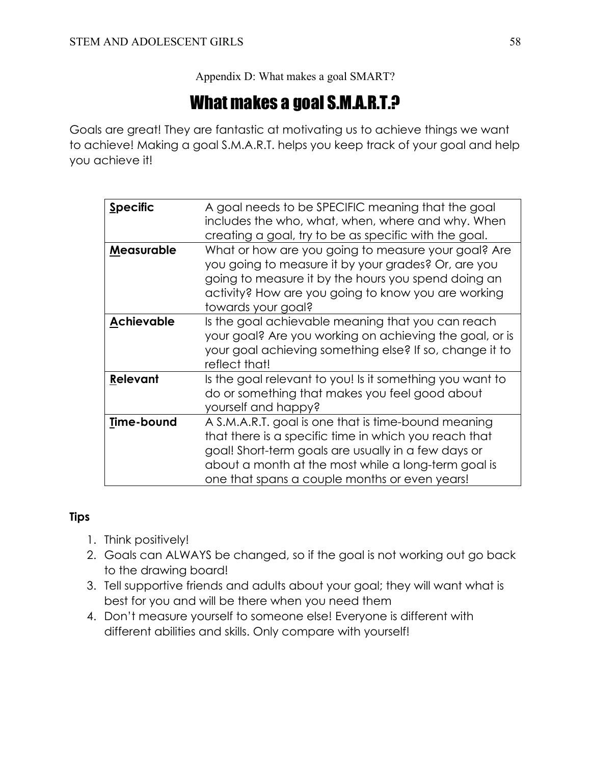Appendix D: What makes a goal SMART?

# What makes a goal S.M.A.R.T.?

Goals are great! They are fantastic at motivating us to achieve things we want to achieve! Making a goal S.M.A.R.T. helps you keep track of your goal and help you achieve it!

| <b>Specific</b>   | A goal needs to be SPECIFIC meaning that the goal<br>includes the who, what, when, where and why. When<br>creating a goal, try to be as specific with the goal.                                                                                                             |
|-------------------|-----------------------------------------------------------------------------------------------------------------------------------------------------------------------------------------------------------------------------------------------------------------------------|
| Measurable        | What or how are you going to measure your goal? Are<br>you going to measure it by your grades? Or, are you<br>going to measure it by the hours you spend doing an<br>activity? How are you going to know you are working<br>towards your goal?                              |
| <b>Achievable</b> | Is the goal achievable meaning that you can reach<br>your goal? Are you working on achieving the goal, or is<br>your goal achieving something else? If so, change it to<br>reflect that!                                                                                    |
| Relevant          | Is the goal relevant to you! Is it something you want to<br>do or something that makes you feel good about<br>yourself and happy?                                                                                                                                           |
| Time-bound        | A S.M.A.R.T. goal is one that is time-bound meaning<br>that there is a specific time in which you reach that<br>goal! Short-term goals are usually in a few days or<br>about a month at the most while a long-term goal is<br>one that spans a couple months or even years! |

# **Tips**

- 1. Think positively!
- 2. Goals can ALWAYS be changed, so if the goal is not working out go back to the drawing board!
- 3. Tell supportive friends and adults about your goal; they will want what is best for you and will be there when you need them
- 4. Don't measure yourself to someone else! Everyone is different with different abilities and skills. Only compare with yourself!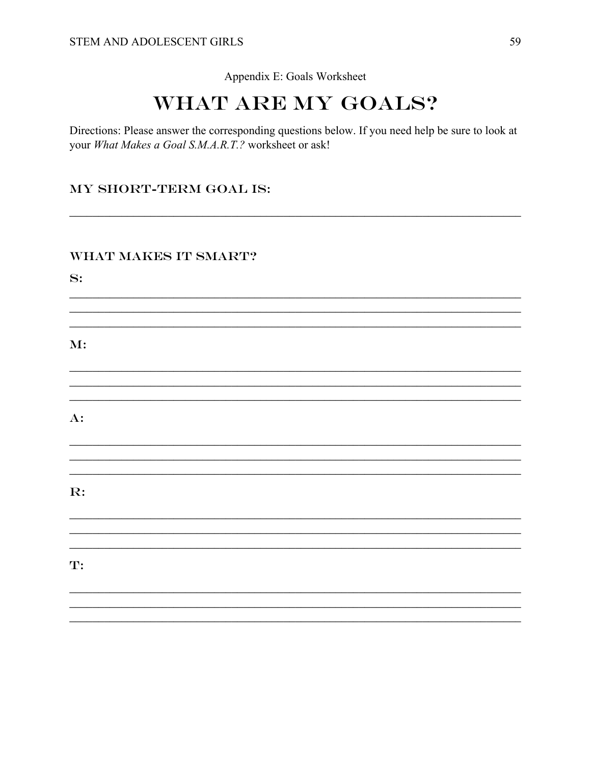#### Appendix E: Goals Worksheet

# **WHAT ARE MY GOALS?**

Directions: Please answer the corresponding questions below. If you need help be sure to look at your What Makes a Goal S.M.A.R.T.? worksheet or ask!

## MY SHORT-TERM GOAL IS:

## **WHAT MAKES IT SMART?**

 $S:$ 

 $M$ :

 $A$ :

 $\mathbf{R}$ :

T: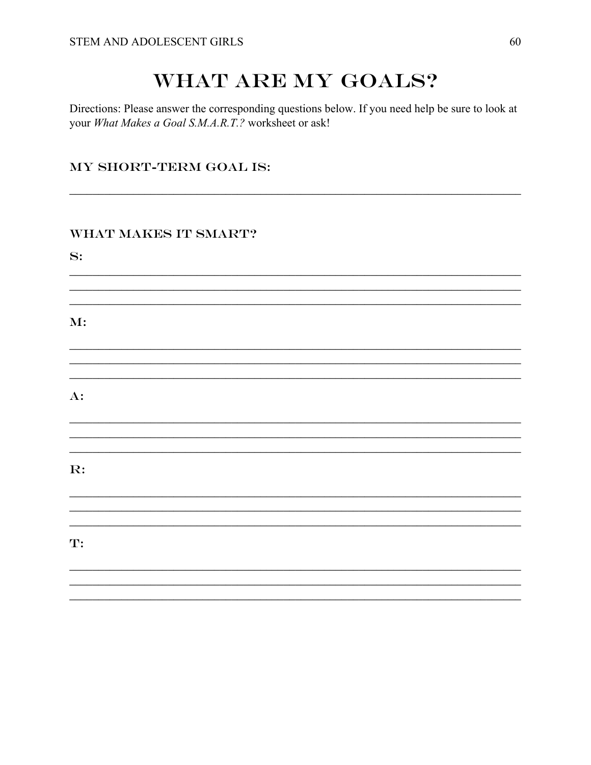# WHAT ARE MY GOALS?

Directions: Please answer the corresponding questions below. If you need help be sure to look at your What Makes a Goal S.M.A.R.T.? worksheet or ask!

a se provincia de la construcción de la construcción de la construcción de la construcción de la construcción

# MY SHORT-TERM GOAL IS:

# WHAT MAKES IT SMART?

 $S:$ 

 $\mathbf{M}$ :

 $A$ :

 $\mathbf{R}$ :

 $\mathbf{T}$ :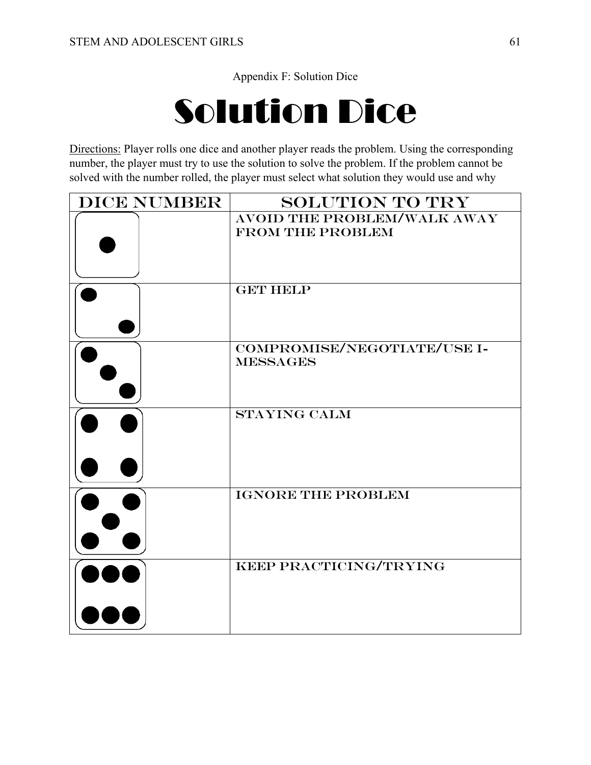Appendix F: Solution Dice

# Solution Dice

Directions: Player rolls one dice and another player reads the problem. Using the corresponding number, the player must try to use the solution to solve the problem. If the problem cannot be solved with the number rolled, the player must select what solution they would use and why

| <b>DICE NUMBER</b> | <b>SOLUTION TO TRY</b>                                        |
|--------------------|---------------------------------------------------------------|
|                    | <b>AVOID THE PROBLEM/WALK AWAY</b><br><b>FROM THE PROBLEM</b> |
|                    | <b>GET HELP</b>                                               |
|                    | COMPROMISE/NEGOTIATE/USE I-<br><b>MESSAGES</b>                |
|                    | <b>STAYING CALM</b>                                           |
|                    | <b>IGNORE THE PROBLEM</b>                                     |
|                    | KEEP PRACTICING/TRYING                                        |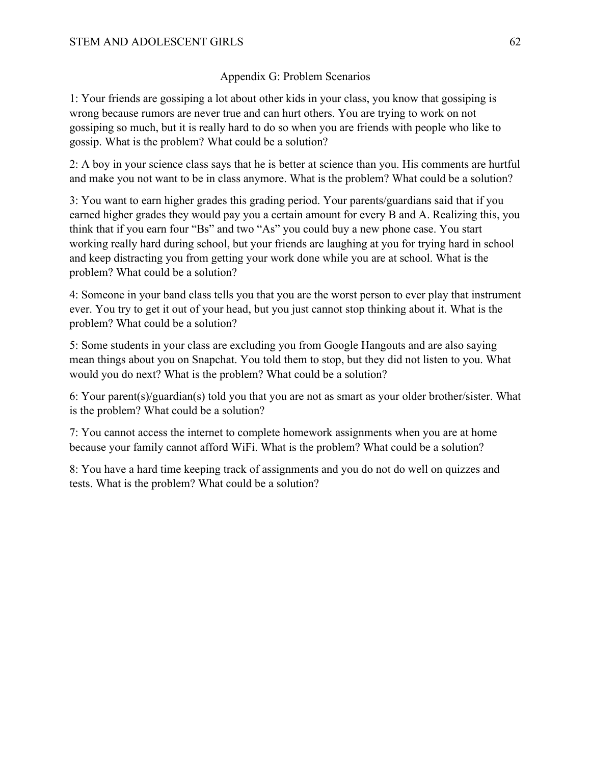# Appendix G: Problem Scenarios

1: Your friends are gossiping a lot about other kids in your class, you know that gossiping is wrong because rumors are never true and can hurt others. You are trying to work on not gossiping so much, but it is really hard to do so when you are friends with people who like to gossip. What is the problem? What could be a solution?

2: A boy in your science class says that he is better at science than you. His comments are hurtful and make you not want to be in class anymore. What is the problem? What could be a solution?

3: You want to earn higher grades this grading period. Your parents/guardians said that if you earned higher grades they would pay you a certain amount for every B and A. Realizing this, you think that if you earn four "Bs" and two "As" you could buy a new phone case. You start working really hard during school, but your friends are laughing at you for trying hard in school and keep distracting you from getting your work done while you are at school. What is the problem? What could be a solution?

4: Someone in your band class tells you that you are the worst person to ever play that instrument ever. You try to get it out of your head, but you just cannot stop thinking about it. What is the problem? What could be a solution?

5: Some students in your class are excluding you from Google Hangouts and are also saying mean things about you on Snapchat. You told them to stop, but they did not listen to you. What would you do next? What is the problem? What could be a solution?

6: Your parent(s)/guardian(s) told you that you are not as smart as your older brother/sister. What is the problem? What could be a solution?

7: You cannot access the internet to complete homework assignments when you are at home because your family cannot afford WiFi. What is the problem? What could be a solution?

8: You have a hard time keeping track of assignments and you do not do well on quizzes and tests. What is the problem? What could be a solution?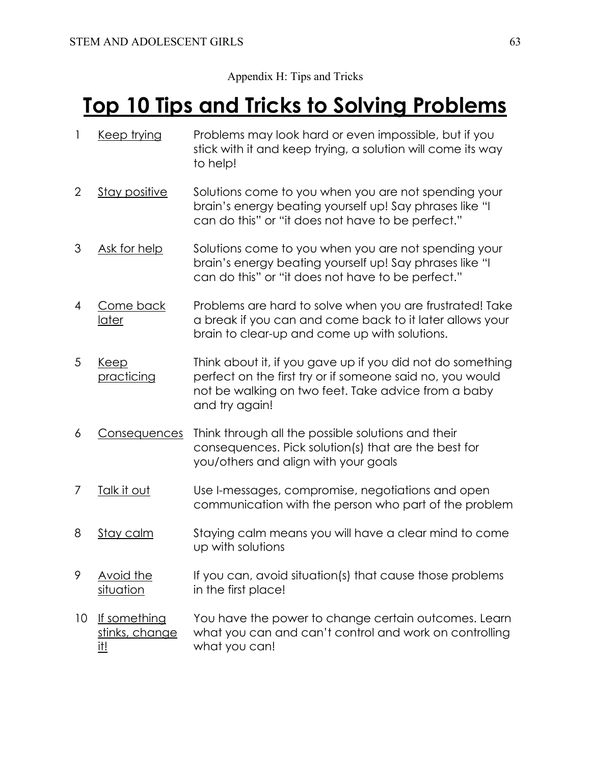# Appendix H: Tips and Tricks

# **Top 10 Tips and Tricks to Solving Problems**

- 1 Keep trying Problems may look hard or even impossible, but if you stick with it and keep trying, a solution will come its way to help!
- 2 Stay positive Solutions come to you when you are not spending your brain's energy beating yourself up! Say phrases like "I can do this" or "it does not have to be perfect."
- 3 Ask for help Solutions come to you when you are not spending your brain's energy beating yourself up! Say phrases like "I can do this" or "it does not have to be perfect."
- 4 Come back later Problems are hard to solve when you are frustrated! Take a break if you can and come back to it later allows your brain to clear-up and come up with solutions.
- 5 Keep practicing Think about it, if you gave up if you did not do something perfect on the first try or if someone said no, you would not be walking on two feet. Take advice from a baby and try again!
- 6 Consequences Think through all the possible solutions and their consequences. Pick solution(s) that are the best for you/others and align with your goals
- 7 Talk it out Use I-messages, compromise, negotiations and open communication with the person who part of the problem
- 8 Stay calm Staying calm means you will have a clear mind to come up with solutions
- 9 Avoid the situation If you can, avoid situation(s) that cause those problems in the first place!
- 10 If something stinks, change it! You have the power to change certain outcomes. Learn what you can and can't control and work on controlling what you can!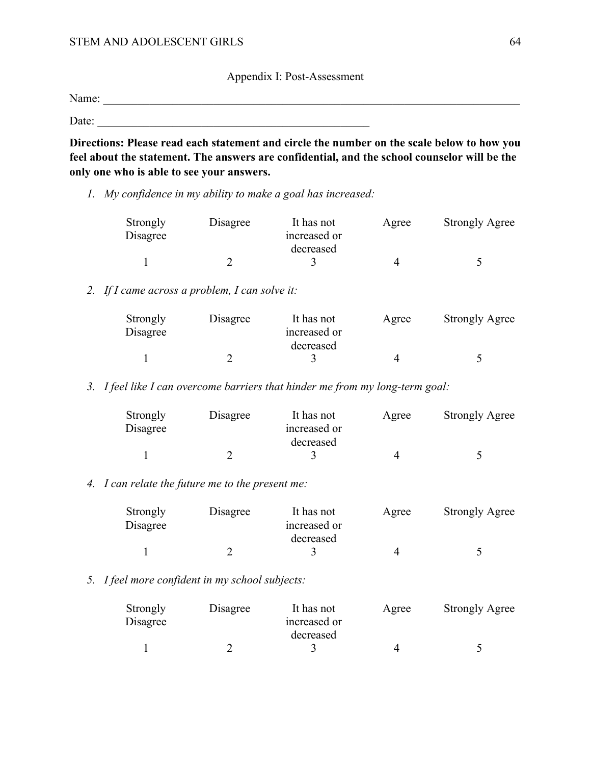Appendix I: Post-Assessment

Name: \_\_\_\_\_\_\_\_\_\_\_\_\_\_\_\_\_\_\_\_\_\_\_\_\_\_\_\_\_\_\_\_\_\_\_\_\_\_\_\_\_\_\_\_\_\_\_\_\_\_\_\_\_\_\_\_\_\_\_\_\_\_\_\_\_\_\_\_\_\_\_\_

Date:  $\frac{1}{\sqrt{1-\frac{1}{2}}}\left\{ \frac{1}{2}+\frac{1}{2}+\frac{1}{2}+\frac{1}{2}+\frac{1}{2}+\frac{1}{2}+\frac{1}{2}+\frac{1}{2}+\frac{1}{2}+\frac{1}{2}+\frac{1}{2}+\frac{1}{2}+\frac{1}{2}+\frac{1}{2}+\frac{1}{2}+\frac{1}{2}+\frac{1}{2}+\frac{1}{2}+\frac{1}{2}+\frac{1}{2}+\frac{1}{2}+\frac{1}{2}+\frac{1}{2}+\frac{1}{2}+\frac{1}{2}+\frac{1}{2}+\frac{1}{2}+\frac{1}{$ 

**Directions: Please read each statement and circle the number on the scale below to how you feel about the statement. The answers are confidential, and the school counselor will be the only one who is able to see your answers.**

*1. My confidence in my ability to make a goal has increased:*

| Strongly<br>Disagree | Disagree | It has not<br>increased or | Agree | <b>Strongly Agree</b> |
|----------------------|----------|----------------------------|-------|-----------------------|
|                      |          | decreased                  |       |                       |
|                      |          |                            |       |                       |

## *2. If I came across a problem, I can solve it:*

| Strongly<br>Disagree | Disagree | It has not<br>increased or<br>decreased | Agree | <b>Strongly Agree</b> |
|----------------------|----------|-----------------------------------------|-------|-----------------------|
|                      |          |                                         |       |                       |

*3. I feel like I can overcome barriers that hinder me from my long-term goal:*

| Strongly<br>Disagree | Disagree | It has not<br>increased or | Agree | <b>Strongly Agree</b> |
|----------------------|----------|----------------------------|-------|-----------------------|
|                      |          | decreased                  |       |                       |
|                      |          |                            |       |                       |

#### *4. I can relate the future me to the present me:*

| Strongly<br>Disagree | Disagree | It has not<br>increased or | Agree | <b>Strongly Agree</b> |
|----------------------|----------|----------------------------|-------|-----------------------|
|                      |          | decreased                  |       |                       |
|                      |          |                            |       |                       |

#### *5. I feel more confident in my school subjects:*

| Strongly<br>Disagree | Disagree | It has not<br>increased or | Agree | <b>Strongly Agree</b> |
|----------------------|----------|----------------------------|-------|-----------------------|
|                      |          | decreased                  |       |                       |
|                      |          |                            |       |                       |